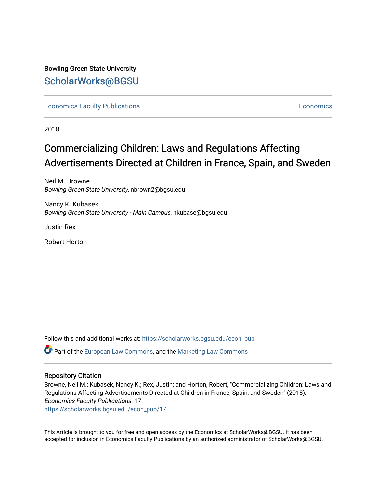Bowling Green State University [ScholarWorks@BGSU](https://scholarworks.bgsu.edu/) 

**[Economics Faculty Publications](https://scholarworks.bgsu.edu/econ_pub) [Economics](https://scholarworks.bgsu.edu/econ) Faculty Publications** Economics Economics Economics

2018

# Commercializing Children: Laws and Regulations Affecting Advertisements Directed at Children in France, Spain, and Sweden

Neil M. Browne Bowling Green State University, nbrown2@bgsu.edu

Nancy K. Kubasek Bowling Green State University - Main Campus, nkubase@bgsu.edu

Justin Rex

Robert Horton

Follow this and additional works at: [https://scholarworks.bgsu.edu/econ\\_pub](https://scholarworks.bgsu.edu/econ_pub?utm_source=scholarworks.bgsu.edu%2Fecon_pub%2F17&utm_medium=PDF&utm_campaign=PDFCoverPages) 

Part of the [European Law Commons,](http://network.bepress.com/hgg/discipline/1084?utm_source=scholarworks.bgsu.edu%2Fecon_pub%2F17&utm_medium=PDF&utm_campaign=PDFCoverPages) and the [Marketing Law Commons](http://network.bepress.com/hgg/discipline/1045?utm_source=scholarworks.bgsu.edu%2Fecon_pub%2F17&utm_medium=PDF&utm_campaign=PDFCoverPages) 

## Repository Citation

Browne, Neil M.; Kubasek, Nancy K.; Rex, Justin; and Horton, Robert, "Commercializing Children: Laws and Regulations Affecting Advertisements Directed at Children in France, Spain, and Sweden" (2018). Economics Faculty Publications. 17.

[https://scholarworks.bgsu.edu/econ\\_pub/17](https://scholarworks.bgsu.edu/econ_pub/17?utm_source=scholarworks.bgsu.edu%2Fecon_pub%2F17&utm_medium=PDF&utm_campaign=PDFCoverPages)

This Article is brought to you for free and open access by the Economics at ScholarWorks@BGSU. It has been accepted for inclusion in Economics Faculty Publications by an authorized administrator of ScholarWorks@BGSU.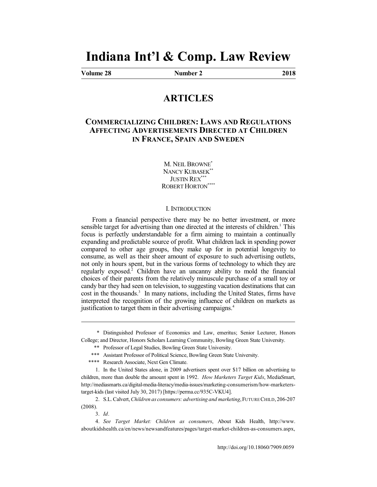# **Indiana Int'l & Comp. Law Review**

**Volume 28 Number 2 2018**

# **ARTICLES**

# **COMMERCIALIZING CHILDREN: LAWS AND REGULATIONS AFFECTING ADVERTISEMENTS DIRECTED AT CHILDREN IN FRANCE, SPAIN AND SWEDEN**

M. NEIL BROWNE<sup>\*</sup> NANCY KUBASEK<sup>\*</sup> JUSTIN REX\*\* ROBERT HORTON\*\*\*\*

#### I. INTRODUCTION

From a financial perspective there may be no better investment, or more sensible target for advertising than one directed at the interests of children.<sup>1</sup> This focus is perfectly understandable for a firm aiming to maintain a continually expanding and predictable source of profit. What children lack in spending power compared to other age groups, they make up for in potential longevity to consume, as well as their sheer amount of exposure to such advertising outlets, not only in hours spent, but in the various forms of technology to which they are regularly exposed.<sup>2</sup> Children have an uncanny ability to mold the financial choices of their parents from the relatively minuscule purchase of a small toy or candy bar they had seen on television, to suggesting vacation destinations that can cost in the thousands.<sup>3</sup> In many nations, including the United States, firms have interpreted the recognition of the growing influence of children on markets as justification to target them in their advertising campaigns.<sup>4</sup>

\* Distinguished Professor of Economics and Law, emeritus; Senior Lecturer, Honors College; and Director, Honors Scholars Learning Community, Bowling Green State University.

<sup>\*\*</sup> Professor of Legal Studies, Bowling Green State University.

<sup>\*\*\*</sup> Assistant Professor of Political Science, Bowling Green State University.

<sup>\*\*\*\*</sup> Research Associate, Next Gen Climate.

<sup>1.</sup> In the United States alone, in 2009 advertisers spent over \$17 billion on advertising to children, more than double the amount spent in 1992. *How Marketers Target Kids*, MediaSmart, http://mediasmarts.ca/digital-media-literacy/media-issues/marketing-consumerism/how-marketerstarget-kids (last visited July 30, 2017) [https://perma.cc/935C-VKU4].

<sup>2.</sup> S.L. Calvert, *Children as consumers: advertising and marketing*, FUTURE CHILD, 206-207 (2008).

<sup>3.</sup> *Id*.

<sup>4.</sup> *See Target Market: Children as consumers*, About Kids Health, http://www. aboutkidshealth.ca/en/news/newsandfeatures/pages/target-market-children-as-consumers.aspx,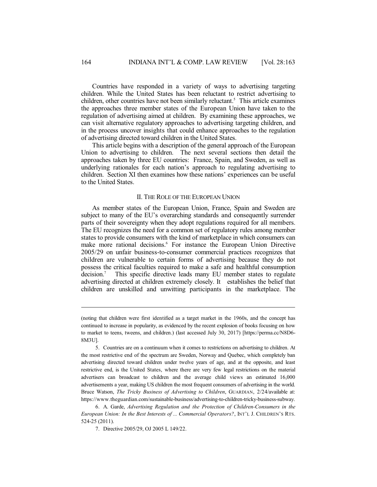Countries have responded in a variety of ways to advertising targeting children. While the United States has been reluctant to restrict advertising to children, other countries have not been similarly reluctant. <sup>5</sup> This article examines the approaches three member states of the European Union have taken to the regulation of advertising aimed at children. By examining these approaches, we can visit alternative regulatory approaches to advertising targeting children, and in the process uncover insights that could enhance approaches to the regulation of advertising directed toward children in the United States.

This article begins with a description of the general approach of the European Union to advertising to children. The next several sections then detail the approaches taken by three EU countries: France, Spain, and Sweden, as well as underlying rationales for each nation's approach to regulating advertising to children. Section XI then examines how these nations' experiences can be useful to the United States.

#### II. THE ROLE OF THE EUROPEAN UNION

As member states of the European Union, France, Spain and Sweden are subject to many of the EU's overarching standards and consequently surrender parts of their sovereignty when they adopt regulations required for all members. The EU recognizes the need for a common set of regulatory rules among member states to provide consumers with the kind of marketplace in which consumers can make more rational decisions.<sup>6</sup> For instance the European Union Directive 2005/29 on unfair business-to-consumer commercial practices recognizes that children are vulnerable to certain forms of advertising because they do not possess the critical faculties required to make a safe and healthful consumption decision. This specific directive leads many EU member states to regulate advertising directed at children extremely closely. It establishes the belief that children are unskilled and unwitting participants in the marketplace. The

6. A. Garde, *Advertising Regulation and the Protection of Children-Consumers in the European Union: In the Best Interests of ... Commercial Operators?*, INT'L J. CHILDREN'S RTS. 524-25 (2011).

7. Directive 2005/29, OJ 2005 L 149/22.

<sup>(</sup>noting that children were first identified as a target market in the 1960s, and the concept has continued to increase in popularity, as evidenced by the recent explosion of books focusing on how to market to teens, tweens, and children.) (last accessed July 30, 2017) [https://perma.cc/N8D6- 8M3U].

<sup>5.</sup> Countries are on a continuum when it comes to restrictions on advertising to children. At the most restrictive end of the spectrum are Sweden, Norway and Quebec, which completely ban advertising directed toward children under twelve years of age, and at the opposite, and least restrictive end, is the United States, where there are very few legal restrictions on the material advertisers can broadcast to children and the average child views an estimated 16,000 advertisements a year, making US children the most frequent consumers of advertising in the world. Bruce Watson, *The Tricky Business of Advertising to Children*, GUARDIAN, 2/24/available at: https://www.theguardian.com/sustainable-business/advertising-to-children-tricky-business-subway.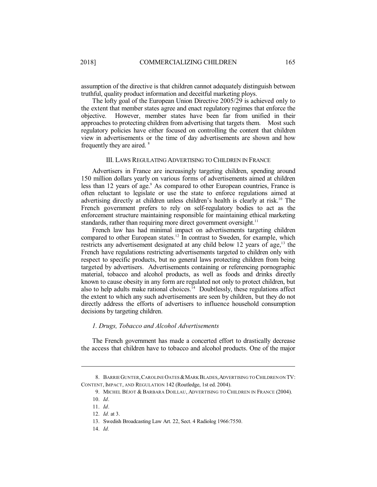assumption of the directive is that children cannot adequately distinguish between truthful, quality product information and deceitful marketing ploys.

The lofty goal of the European Union Directive 2005/29 is achieved only to the extent that member states agree and enact regulatory regimes that enforce the objective. However, member states have been far from unified in their approaches to protecting children from advertising that targets them. Most such regulatory policies have either focused on controlling the content that children view in advertisements or the time of day advertisements are shown and how frequently they are aired. 8

#### III. LAWS REGULATING ADVERTISING TO CHILDREN IN FRANCE

Advertisers in France are increasingly targeting children, spending around 150 million dollars yearly on various forms of advertisements aimed at children less than 12 years of age.<sup>9</sup> As compared to other European countries, France is often reluctant to legislate or use the state to enforce regulations aimed at advertising directly at children unless children's health is clearly at risk. <sup>10</sup> The French government prefers to rely on self-regulatory bodies to act as the enforcement structure maintaining responsible for maintaining ethical marketing standards, rather than requiring more direct government oversight.<sup>11</sup>

French law has had minimal impact on advertisements targeting children compared to other European states.<sup>12</sup> In contrast to Sweden, for example, which restricts any advertisement designated at any child below 12 years of age,<sup>13</sup> the French have regulations restricting advertisements targeted to children only with respect to specific products, but no general laws protecting children from being targeted by advertisers. Advertisements containing or referencing pornographic material, tobacco and alcohol products, as well as foods and drinks directly known to cause obesity in any form are regulated not only to protect children, but also to help adults make rational choices.<sup>14</sup> Doubtlessly, these regulations affect the extent to which any such advertisements are seen by children, but they do not directly address the efforts of advertisers to influence household consumption decisions by targeting children.

#### *1. Drugs, Tobacco and Alcohol Advertisements*

The French government has made a concerted effort to drastically decrease the access that children have to tobacco and alcohol products. One of the major

14. *Id.*

<sup>8.</sup> BARRIE GUNTER, CAROLINE OATES & MARK BLADES, ADVERTISING TO CHILDREN ON TV: CONTENT, IMPACT, AND REGULATION 142 (Routledge, 1st ed. 2004).

<sup>9.</sup> MICHEL BÉJOT & BARBARA DOILLAU, ADVERTISING TO CHILDREN IN FRANCE (2004).

<sup>10.</sup> *Id*.

<sup>11.</sup> *Id*.

<sup>12.</sup> *Id.* at 3.

<sup>13.</sup> Swedish Broadcasting Law Art. 22, Sect. 4 Radiolog 1966:7550.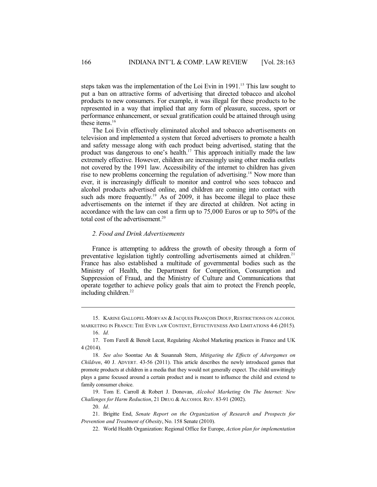steps taken was the implementation of the Loi Evin in 1991.<sup>15</sup> This law sought to put a ban on attractive forms of advertising that directed tobacco and alcohol products to new consumers. For example, it was illegal for these products to be represented in a way that implied that any form of pleasure, success, sport or performance enhancement, or sexual gratification could be attained through using these items.<sup>16</sup>

The Loi Evin effectively eliminated alcohol and tobacco advertisements on television and implemented a system that forced advertisers to promote a health and safety message along with each product being advertised, stating that the product was dangerous to one's health. <sup>17</sup> This approach initially made the law extremely effective. However, children are increasingly using other media outlets not covered by the 1991 law. Accessibility of the internet to children has given rise to new problems concerning the regulation of advertising. <sup>18</sup> Now more than ever, it is increasingly difficult to monitor and control who sees tobacco and alcohol products advertised online, and children are coming into contact with such ads more frequently.<sup>19</sup> As of 2009, it has become illegal to place these advertisements on the internet if they are directed at children. Not acting in accordance with the law can cost a firm up to 75,000 Euros or up to 50% of the total cost of the advertisement. 20

### *2. Food and Drink Advertisements*

France is attempting to address the growth of obesity through a form of preventative legislation tightly controlling advertisements aimed at children.<sup>21</sup> France has also established a multitude of governmental bodies such as the Ministry of Health, the Department for Competition, Consumption and Suppression of Fraud, and the Ministry of Culture and Communications that operate together to achieve policy goals that aim to protect the French people, including children. 22

<sup>15.</sup> KARINE GALLOPEL-MORVAN & JACQUES FRANÇOIS DIOUF, RESTRICTIONS ON ALCOHOL MARKETING IN FRANCE: THE EVIN LAW CONTENT, EFFECTIVENESS AND LIMITATIONS 4-6 (2015).

<sup>16.</sup> *Id.*

<sup>17.</sup> Tom Farell & Benoît Lecat, Regulating Alcohol Marketing practices in France and UK 4 (2014).

<sup>18.</sup> *See also* Soontae An & Susannah Stern, *Mitigating the Effects of Advergames on Children*, 40 J. ADVERT. 43-56 (2011). This article describes the newly introduced games that promote products at children in a media that they would not generally expect. The child unwittingly plays a game focused around a certain product and is meant to influence the child and extend to family consumer choice.

<sup>19.</sup> Tom E. Carroll & Robert J. Donovan, *Alcohol Marketing On The Internet: New Challenges for Harm Reduction*, 21 DRUG & ALCOHOL REV. 83-91 (2002).

<sup>20.</sup> *Id*.

<sup>21.</sup> Brigitte End, *Senate Report on the Organization of Research and Prospects for Prevention and Treatment of Obesity*, No. 158 Senate (2010).

<sup>22.</sup> World Health Organization: Regional Office for Europe, *Action plan for implementation*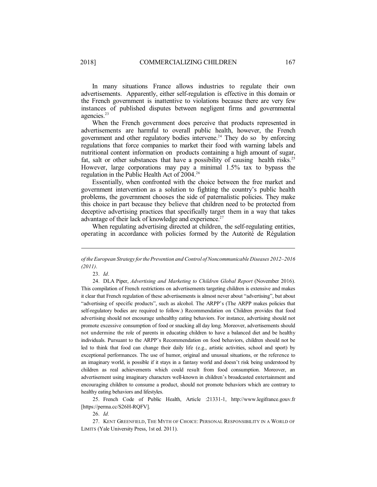In many situations France allows industries to regulate their own advertisements. Apparently, either self-regulation is effective in this domain or the French government is inattentive to violations because there are very few instances of published disputes between negligent firms and governmental agencies.<sup>23</sup>

When the French government does perceive that products represented in advertisements are harmful to overall public health, however, the French government and other regulatory bodies intervene. <sup>24</sup> They do so by enforcing regulations that force companies to market their food with warning labels and nutritional content information on products containing a high amount of sugar, fat, salt or other substances that have a possibility of causing health risks.<sup>25</sup> However, large corporations may pay a minimal 1.5% tax to bypass the regulation in the Public Health Act of 2004.<sup>26</sup>

Essentially, when confronted with the choice between the free market and government intervention as a solution to fighting the country's public health problems, the government chooses the side of paternalistic policies. They make this choice in part because they believe that children need to be protected from deceptive advertising practices that specifically target them in a way that takes advantage of their lack of knowledge and experience.<sup>27</sup>

When regulating advertising directed at children, the self-regulating entities, operating in accordance with policies formed by the Autorité de Régulation

25. French Code of Public Health, Article :21331-1, http://www.legifrance.gouv.fr [https://perma.cc/S26H-RQFV].

26. *Id.*

27. KENT GREENFIELD, THE MYTH OF CHOICE: PERSONAL RESPONSIBILITY IN A WORLD OF LIMITS (Yale University Press, 1st ed. 2011).

*of theEuropean Strategy forthePrevention and Control ofNoncommunicableDiseases 2012–2016 (2011)*.

<sup>23.</sup> *Id*.

<sup>24.</sup> DLA Piper, *Advertising and Marketing to Children Global Report* (November 2016). This compilation of French restrictions on advertisements targeting children is extensive and makes it clear that French regulation of these advertisements is almost never about "advertising", but about "advertising of specific products", such as alcohol. The ARPP's (The ARPP makes policies that self-regulatory bodies are required to follow.) Recommendation on Children provides that food advertising should not encourage unhealthy eating behaviors. For instance, advertising should not promote excessive consumption of food or snacking all day long. Moreover, advertisements should not undermine the role of parents in educating children to have a balanced diet and be healthy individuals. Pursuant to the ARPP's Recommendation on food behaviors, children should not be led to think that food can change their daily life (e.g., artistic activities, school and sport) by exceptional performances. The use of humor, original and unusual situations, or the reference to an imaginary world, is possible if it stays in a fantasy world and doesn't risk being understood by children as real achievements which could result from food consumption. Moreover, an advertisement using imaginary characters well-known in children's broadcasted entertainment and encouraging children to consume a product, should not promote behaviors which are contrary to healthy eating behaviors and lifestyles.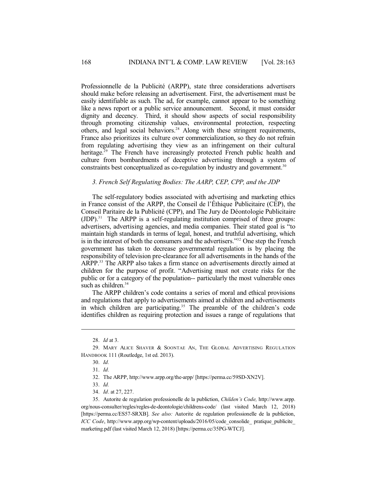Professionnelle de la Publicité (ARPP), state three considerations advertisers should make before releasing an advertisement. First, the advertisement must be easily identifiable as such. The ad, for example, cannot appear to be something like a news report or a public service announcement. Second, it must consider dignity and decency. Third, it should show aspects of social responsibility through promoting citizenship values, environmental protection, respecting others, and legal social behaviors.<sup>28</sup> Along with these stringent requirements, France also prioritizes its culture over commercialization, so they do not refrain from regulating advertising they view as an infringement on their cultural heritage. <sup>29</sup> The French have increasingly protected French public health and culture from bombardments of deceptive advertising through a system of constraints best conceptualized as co-regulation by industry and government. 30

### *3. French Self Regulating Bodies: The AARP, CEP, CPP, and the JDP*

The self-regulatory bodies associated with advertising and marketing ethics in France consist of the ARPP, the Conseil de l'Éthique Publicitaire (CEP), the Conseil Paritaire de la Publicité (CPP), and The Jury de Déontologie Publicitaire (JDP). <sup>31</sup> The ARPP is a self-regulating institution comprised of three groups: advertisers, advertising agencies, and media companies. Their stated goal is "to maintain high standards in terms of legal, honest, and truthful advertising, which is in the interest of both the consumers and the advertisers."<sup>32</sup> One step the French government has taken to decrease governmental regulation is by placing the responsibility of television pre-clearance for all advertisements in the hands of the ARPP. <sup>33</sup> The ARPP also takes a firm stance on advertisements directly aimed at children for the purpose of profit. "Advertising must not create risks for the public or for a category of the population-- particularly the most vulnerable ones such as children. 34

The ARPP children's code contains a series of moral and ethical provisions and regulations that apply to advertisements aimed at children and advertisements in which children are participating. <sup>35</sup> The preamble of the children's code identifies children as requiring protection and issues a range of regulations that

<sup>28.</sup> *Id* at 3.

<sup>29.</sup> MARY ALICE SHAVER & SOONTAE AN, THE GLOBAL ADVERTISING REGULATION HANDBOOK 111 (Routledge, 1st ed. 2013).

<sup>30.</sup> *Id.*

<sup>31.</sup> *Id.*

<sup>32.</sup> The ARPP, http://www.arpp.org/the-arpp/ [https://perma.cc/59SD-XN2V].

<sup>33.</sup> *Id.*

<sup>34.</sup> *Id*. at 27, 227.

<sup>35.</sup> Autorite de regulation professionelle de la publiction, *Childen's Code,* http://www.arpp. org/nous-consulter/regles/regles-de-deontologie/childrens-code/ (last visited March 12, 2018) [https://perma.cc/ES57-SRXB]. *See also:* Autorite de regulation professionelle de la publiction, *ICC Code*, http://www.arpp.org/wp-content/uploads/2016/05/code\_consolide\_ pratique\_publicite\_ marketing.pdf (last visited March 12, 2018) [https://perma.cc/35PG-WTCJ].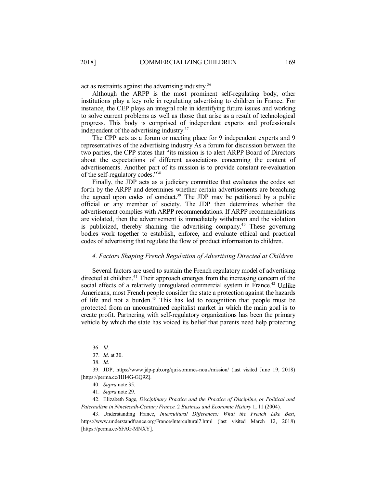act as restraints against the advertising industry.<sup>36</sup>

Although the ARPP is the most prominent self-regulating body, other institutions play a key role in regulating advertising to children in France. For instance, the CEP plays an integral role in identifying future issues and working to solve current problems as well as those that arise as a result of technological progress. This body is comprised of independent experts and professionals independent of the advertising industry.<sup>37</sup>

The CPP acts as a forum or meeting place for 9 independent experts and 9 representatives of the advertising industry As a forum for discussion between the two parties, the CPP states that "its mission is to alert ARPP Board of Directors about the expectations of different associations concerning the content of advertisements. Another part of its mission is to provide constant re-evaluation of the self-regulatory codes." 38

Finally, the JDP acts as a judiciary committee that evaluates the codes set forth by the ARPP and determines whether certain advertisements are breaching the agreed upon codes of conduct. <sup>39</sup> The JDP may be petitioned by a public official or any member of society. The JDP then determines whether the advertisement complies with ARPP recommendations. If ARPP recommendations are violated, then the advertisement is immediately withdrawn and the violation is publicized, thereby shaming the advertising company. <sup>40</sup> These governing bodies work together to establish, enforce, and evaluate ethical and practical codes of advertising that regulate the flow of product information to children.

#### *4. Factors Shaping French Regulation of Advertising Directed at Children*

Several factors are used to sustain the French regulatory model of advertising directed at children.<sup>41</sup> Their approach emerges from the increasing concern of the social effects of a relatively unregulated commercial system in France.<sup>42</sup> Unlike Americans, most French people consider the state a protection against the hazards of life and not a burden. <sup>43</sup> This has led to recognition that people must be protected from an unconstrained capitalist market in which the main goal is to create profit. Partnering with self-regulatory organizations has been the primary vehicle by which the state has voiced its belief that parents need help protecting

<sup>36.</sup> *Id.*

<sup>37.</sup> *Id.* at 30.

<sup>38.</sup> *Id.*

<sup>39.</sup> JDP, https://www.jdp-pub.org/qui-sommes-nous/mission/ (last visited June 19, 2018) [https://perma.cc/HH4G-GQ9Z].

<sup>40.</sup> *Supra* note 35*.*

<sup>41.</sup> *Supra* note 29.

<sup>42.</sup> Elizabeth Sage, *Disciplinary Practice and the Practice of Discipline, or Political and Paternalism in Nineteenth-Century France,* 2 *Business and Economic History* 1, 11 (2004).

<sup>43.</sup> Understanding France, *Intercultural Differences: What the French Like Best*, https://www.understandfrance.org/France/Intercultural7.html (last visited March 12, 2018) [https://perma.cc/6FAG-MNXY].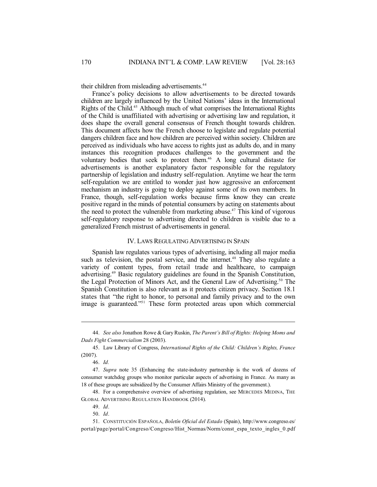their children from misleading advertisements.<sup>44</sup>

France's policy decisions to allow advertisements to be directed towards children are largely influenced by the United Nations' ideas in the International Rights of the Child. <sup>45</sup> Although much of what comprises the International Rights of the Child is unaffiliated with advertising or advertising law and regulation, it does shape the overall general consensus of French thought towards children. This document affects how the French choose to legislate and regulate potential dangers children face and how children are perceived within society. Children are perceived as individuals who have access to rights just as adults do, and in many instances this recognition produces challenges to the government and the voluntary bodies that seek to protect them. <sup>46</sup> A long cultural distaste for advertisements is another explanatory factor responsible for the regulatory partnership of legislation and industry self-regulation. Anytime we hear the term self-regulation we are entitled to wonder just how aggressive an enforcement mechanism an industry is going to deploy against some of its own members. In France, though, self-regulation works because firms know they can create positive regard in the minds of potential consumers by acting on statements about the need to protect the vulnerable from marketing abuse. <sup>47</sup> This kind of vigorous self-regulatory response to advertising directed to children is visible due to a generalized French mistrust of advertisements in general.

#### IV. LAWS REGULATING ADVERTISING IN SPAIN

Spanish law regulates various types of advertising, including all major media such as television, the postal service, and the internet.<sup>48</sup> They also regulate a variety of content types, from retail trade and healthcare, to campaign advertising. <sup>49</sup> Basic regulatory guidelines are found in the Spanish Constitution, the Legal Protection of Minors Act, and the General Law of Advertising. <sup>50</sup> The Spanish Constitution is also relevant as it protects citizen privacy. Section 18.1 states that "the right to honor, to personal and family privacy and to the own image is guaranteed." <sup>51</sup> These form protected areas upon which commercial

<sup>44.</sup> *See also* Jonathon Rowe & GaryRuskin, *The Parent's Bill of Rights: Helping Moms and Dads Fight Commercialism* 28 (2003).

<sup>45.</sup> Law Library of Congress, *International Rights of the Child: Children's Rights, France* (2007).

<sup>46.</sup> *Id.*

<sup>47.</sup> *Supra* note 35 (Enhancing the state-industry partnership is the work of dozens of consumer watchdog groups who monitor particular aspects of advertising in France. As many as 18 of these groups are subsidized by the Consumer Affairs Ministry of the government.).

<sup>48.</sup> For a comprehensive overview of advertising regulation, see MERCEDES MEDINA, THE GLOBAL ADVERTISING REGULATION HANDBOOK (2014).

<sup>49.</sup> *Id*.

<sup>50.</sup> *Id*.

<sup>51.</sup> CONSTITUCIÓN ESPAÑOLA, *Boletín Oficial del Estado* (Spain), http://www.congreso.es/ portal/page/portal/Congreso/Congreso/Hist\_Normas/Norm/const\_espa\_texto\_ingles\_0.pdf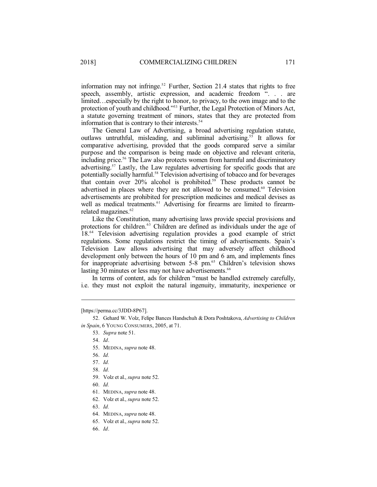information may not infringe. <sup>52</sup> Further, Section 21.4 states that rights to free speech, assembly, artistic expression, and academic freedom ". . . are limited…especially by the right to honor, to privacy, to the own image and to the protection of youth and childhood." <sup>53</sup> Further, the Legal Protection of Minors Act, a statute governing treatment of minors, states that they are protected from information that is contrary to their interests.<sup>54</sup>

The General Law of Advertising, a broad advertising regulation statute, outlaws untruthful, misleading, and subliminal advertising.<sup>55</sup> It allows for comparative advertising, provided that the goods compared serve a similar purpose and the comparison is being made on objective and relevant criteria, including price. <sup>56</sup> The Law also protects women from harmful and discriminatory advertising. <sup>57</sup> Lastly, the Law regulates advertising for specific goods that are potentially socially harmful.<sup>58</sup> Television advertising of tobacco and for beverages that contain over 20% alcohol is prohibited. <sup>59</sup> These products cannot be advertised in places where they are not allowed to be consumed.<sup>60</sup> Television advertisements are prohibited for prescription medicines and medical devises as well as medical treatments.<sup>61</sup> Advertising for firearms are limited to firearmrelated magazines.<sup>62</sup>

Like the Constitution, many advertising laws provide special provisions and protections for children.<sup>63</sup> Children are defined as individuals under the age of 18.<sup>64</sup> Television advertising regulation provides a good example of strict regulations. Some regulations restrict the timing of advertisements. Spain's Television Law allows advertising that may adversely affect childhood development only between the hours of 10 pm and 6 am, and implements fines for inappropriate advertising between 5-8 pm. <sup>65</sup> Children's television shows lasting 30 minutes or less may not have advertisements.<sup>66</sup>

In terms of content, ads for children "must be handled extremely carefully, i.e. they must not exploit the natural ingenuity, immaturity, inexperience or

[https://perma.cc/3JDD-8P67].

53. *Supra* note 51.

55. MEDINA, *supra* note 48.

- 58. *Id.*
- 59. Volz et al., *supra* note 52.
- 60. *Id.*
- 61. MEDINA, *supra* note 48.
- 62. Volz et al., *supra* note 52.
- 63. *Id.*
- 64. MEDINA, *supra* note 48.
- 65. Volz et al., *supra* note 52.
- 66. *Id*.

<sup>52.</sup> Gehard W. Volz, Felipe Bances Handschuh & Dora Poshtakova, *Advertising to Children in Spain*, 6 YOUNG CONSUMERS, 2005, at 71.

<sup>54.</sup> *Id*.

<sup>56.</sup> *Id.*

<sup>57.</sup> *Id.*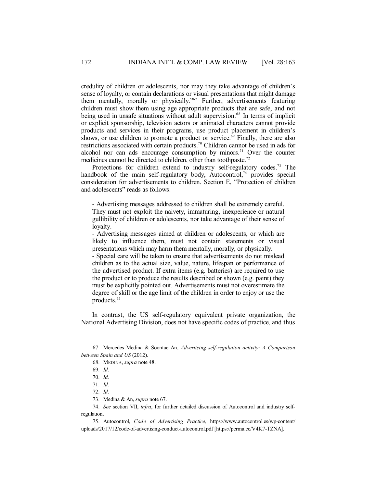credulity of children or adolescents, nor may they take advantage of children's sense of loyalty, or contain declarations or visual presentations that might damage them mentally, morally or physically."<sup>67</sup> Further, advertisements featuring children must show them using age appropriate products that are safe, and not being used in unsafe situations without adult supervision.<sup>68</sup> In terms of implicit or explicit sponsorship, television actors or animated characters cannot provide products and services in their programs, use product placement in children's shows, or use children to promote a product or service. <sup>69</sup> Finally, there are also restrictions associated with certain products.<sup>70</sup> Children cannot be used in ads for alcohol nor can ads encourage consumption by minors.<sup>71</sup> Over the counter medicines cannot be directed to children, other than toothpaste.<sup>72</sup>

Protections for children extend to industry self-regulatory codes.<sup>73</sup> The handbook of the main self-regulatory body, Autocontrol,<sup>74</sup> provides special consideration for advertisements to children. Section E, "Protection of children and adolescents" reads as follows:

- Advertising messages addressed to children shall be extremely careful. They must not exploit the naivety, immaturing, inexperience or natural gullibility of children or adolescents, nor take advantage of their sense of loyalty.

- Advertising messages aimed at children or adolescents, or which are likely to influence them, must not contain statements or visual presentations which may harm them mentally, morally, or physically.

- Special care will be taken to ensure that advertisements do not mislead children as to the actual size, value, nature, lifespan or performance of the advertised product. If extra items (e.g. batteries) are required to use the product or to produce the results described or shown (e.g. paint) they must be explicitly pointed out. Advertisements must not overestimate the degree of skill or the age limit of the children in order to enjoy or use the products.<sup>75</sup>

In contrast, the US self-regulatory equivalent private organization, the National Advertising Division, does not have specific codes of practice, and thus

<sup>67.</sup> Mercedes Medina & Soontae An, *Advertising self-regulation activity: A Comparison between Spain and US* (2012).

<sup>68.</sup> MEDINA, *supra* note 48.

<sup>69.</sup> *Id*.

<sup>70.</sup> *Id*.

<sup>71.</sup> *Id*.

<sup>72.</sup> *Id*.

<sup>73.</sup> Medina & An, *supra* note 67.

<sup>74.</sup> *See* section VII, *infra*, for further detailed discussion of Autocontrol and industry selfregulation.

<sup>75.</sup> Autocontrol, *Code of Advertising Practice*, https://www.autocontrol.es/wp-content/ uploads/2017/12/code-of-advertising-conduct-autocontrol.pdf [https://perma.cc/V4K7-TZNA].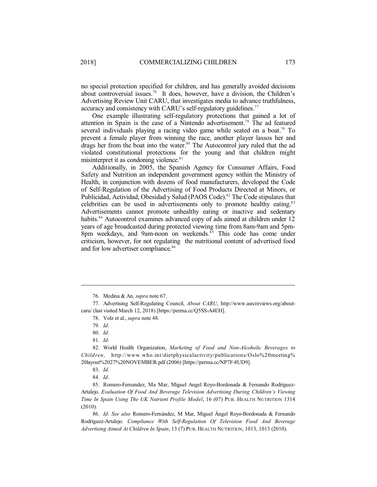no special protection specified for children, and has generally avoided decisions about controversial issues.<sup>76</sup> It does, however, have a division, the Children's Advertising Review Unit CARU, that investigates media to advance truthfulness, accuracy and consistency with CARU's self-regulatory guidelines.<sup>77</sup>

One example illustrating self-regulatory protections that gained a lot of attention in Spain is the case of a Nintendo advertisement. <sup>78</sup> The ad featured several individuals playing a racing video game while seated on a boat.<sup>79</sup> To prevent a female player from winning the race, another player lassos her and drags her from the boat into the water. <sup>80</sup> The Autocontrol jury ruled that the ad violated constitutional protections for the young and that children might misinterpret it as condoning violence. 81

Additionally, in 2005, the Spanish Agency for Consumer Affairs, Food Safety and Nutrition an independent government agency within the Ministry of Health, in conjunction with dozens of food manufacturers, developed the Code of Self-Regulation of the Advertising of Food Products Directed at Minors, or Publicidad, Actividad, Obesidad y Salud (PAOS Code).<sup>82</sup> The Code stipulates that celebrities can be used in advertisements only to promote healthy eating.<sup>83</sup> Advertisements cannot promote unhealthy eating or inactive and sedentary habits.<sup>84</sup> Autocontrol examines advanced copy of ads aimed at children under 12 years of age broadcasted during protected viewing time from 8am-9am and 5pm-8pm weekdays, and 9am-noon on weekends. <sup>85</sup> This code has come under criticism, however, for not regulating the nutritional content of advertised food and for low advertiser compliance. 86

82. World Health Organization, *Marketing of Food and Non-Alcoholic Beverages to Children,* http://www.who.int/dietphysicalactivity/publications/Oslo%20meeting% 20layout%2027%20NOVEMBER.pdf (2006) [https://perma.cc/NP7F-8UD9].

85. Romero-Fernandez, Ma Mar, Miguel Angel Royo-Bordonada & Fernando Rodríguez-Artalejo. *Evaluation Of Food And Beverage Television Advertising During Children's Viewing Time In Spain Using The UK Nutrient Profile Model*, 16 (07) PUB. HEALTH NUTRITION 1314 (2010).

86. *Id*. *See also* Romero-Fernández, M Mar, Miguel Ángel Royo-Bordonada & Fernando Rodríguez-Artalejo. *Compliance With Self-Regulation Of Television Food And Beverage Advertising Aimed At Children In Spain*, 13 (7) PUB. HEALTH NUTRITION, 1013, 1013 (2010).

<sup>76.</sup> Medina & An, *supra* note 67.

<sup>77.</sup> Advertising Self-Regulating Council, *About CARU*, http://www.asrcreviews.org/aboutcaru/ (last visited March 12, 2018) [https://perma.cc/Q5SS-A4EH].

<sup>78.</sup> Volz et al., *supra* note 48.

<sup>79.</sup> *Id*.

<sup>80.</sup> *Id*.

<sup>81.</sup> *Id*.

<sup>83.</sup> *Id*.

<sup>84.</sup> *Id*.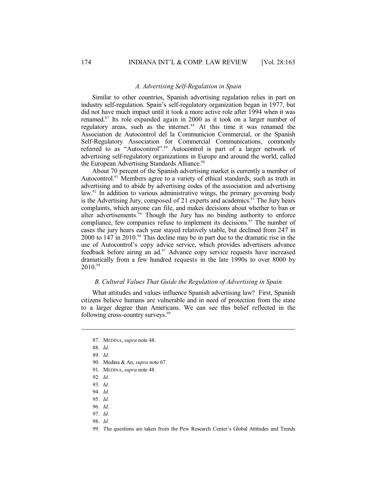#### *A. Advertising Self-Regulation in Spain*

Similar to other countries, Spanish advertising regulation relies in part on industry self-regulation. Spain's self-regulatory organization began in 1977, but did not have much impact until it took a more active role after 1994 when it was renamed. 87 Its role expanded again in 2000 as it took on a larger number of regulatory areas, such as the internet. <sup>88</sup> At this time it was renamed the Association de Autocontrol del la Communicion Commercial, or the Spanish Self-Regulatory Association for Commercial Communications, commonly referred to as "Autocontrol".<sup>89</sup> Autocontrol is part of a larger network of advertising self-regulatory organizations in Europe and around the world, called the European Advertising Standards Alliance.<sup>90</sup>

About 70 percent of the Spanish advertising market is currently a member of Autocontrol.<sup>91</sup> Members agree to a variety of ethical standards, such as truth in advertising and to abide by advertising codes of the association and advertising law. 92 In addition to various administrative wings, the primary governing body is the Advertising Jury, composed of 21 experts and academics.<sup>93</sup> The Jury hears complaints, which anyone can file, and makes decisions about whether to ban or alter advertisements.<sup>94</sup> Though the Jury has no binding authority to enforce compliance, few companies refuse to implement its decisions.<sup>95</sup> The number of cases the jury hears each year stayed relatively stable, but declined from 247 in 2000 to 147 in 2010.<sup>96</sup> This decline may be in part due to the dramatic rise in the use of Autocontrol's copy advice service, which provides advertisers advance feedback before airing an ad.<sup>97</sup> Advance copy service requests have increased dramatically from a few hundred requests in the late 1990s to over 8000 by 2010.<sup>98</sup>

#### *B. Cultural Values That Guide the Regulation of Advertising in Spain*

What attitudes and values influence Spanish advertising law? First, Spanish citizens believe humans are vulnerable and in need of protection from the state to a larger degree than Americans. We can see this belief reflected in the following cross-country surveys.<sup>99</sup>

- 90. Medina & An, *supra* note 67.
- 91. MEDINA, *supra* note 48.
- 92. *Id*.
- 93. *Id*.
- 94. *Id*.
- 95. *Id.*
- 96. *Id*.
- 97. *Id*.
- 98. *Id*.

<sup>87.</sup> MEDINA, *supra* note 48.

<sup>88.</sup> *Id*.

<sup>89.</sup> *Id*.

<sup>99.</sup> The questions are taken from the Pew Research Center's Global Attitudes and Trends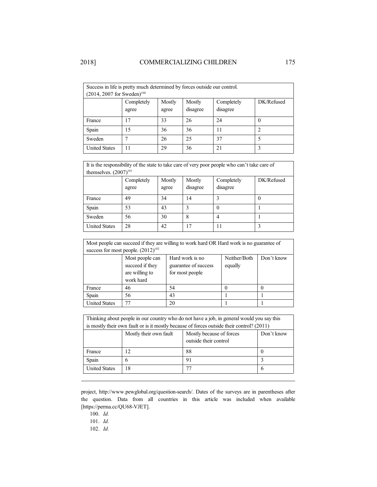| Success in life is pretty much determined by forces outside our control. |            |        |          |            |            |
|--------------------------------------------------------------------------|------------|--------|----------|------------|------------|
| $(2014, 2007$ for Sweden) <sup>100</sup>                                 |            |        |          |            |            |
|                                                                          | Completely | Mostly | Mostly   | Completely | DK/Refused |
|                                                                          | agree      | agree  | disagree | disagree   |            |
| France                                                                   | 17         | 33     | 26       | 24         | 0          |
| Spain                                                                    | 15         | 36     | 36       | 11         |            |
| Sweden                                                                   |            | 26     | 25       | 37         |            |
| <b>United States</b>                                                     | 11         | 29     | 36       | 21         | 3          |

It is the responsibility of the state to take care of very poor people who can't take care of themselves.  $(2007)^{101}$ Completely Mostly Mostly Completely DK/Refused

|                      | agree | agree | disagree | disagree |   |
|----------------------|-------|-------|----------|----------|---|
| France               | 49    | 34    | l 4      |          | v |
| Spain                | 53    | 43    |          | v        |   |
| Sweden               | 56    | 30    | $\circ$  |          |   |
| <b>United States</b> | 28    | 42    | 7        | 11       |   |

| Most people can succeed if they are willing to work hard OR Hard work is no guarantee of |                                                                                                                                                                          |    |          |          |  |
|------------------------------------------------------------------------------------------|--------------------------------------------------------------------------------------------------------------------------------------------------------------------------|----|----------|----------|--|
|                                                                                          | success for most people. $(2012)^{102}$                                                                                                                                  |    |          |          |  |
|                                                                                          | Neither/Both<br>Hard work is no<br>Don't know<br>Most people can<br>succeed if they<br>guarantee of success<br>equally<br>are willing to<br>for most people<br>work hard |    |          |          |  |
| France                                                                                   | 46                                                                                                                                                                       | 54 | $\theta$ | $\theta$ |  |
| Spain                                                                                    | 56                                                                                                                                                                       | 43 |          |          |  |
| <b>United States</b>                                                                     | 77                                                                                                                                                                       | 20 |          |          |  |

| Thinking about people in our country who do not have a job, in general would you say this |                                                                                           |                                                                                             |          |  |  |
|-------------------------------------------------------------------------------------------|-------------------------------------------------------------------------------------------|---------------------------------------------------------------------------------------------|----------|--|--|
|                                                                                           |                                                                                           | is mostly their own fault or is it mostly because of forces outside their control? $(2011)$ |          |  |  |
|                                                                                           | Mostly their own fault<br>Don't know<br>Mostly because of forces<br>outside their control |                                                                                             |          |  |  |
| France                                                                                    | 12                                                                                        | 88                                                                                          | $\theta$ |  |  |
| Spain                                                                                     | 6                                                                                         | 91                                                                                          | 3        |  |  |
| <b>United States</b>                                                                      | 18                                                                                        | 77                                                                                          | 6        |  |  |

project, http://www.pewglobal.org/question-search/. Dates of the surveys are in parentheses after the question. Data from all countries in this article was included when available [https://perma.cc/QU68-VJET].

100. *Id.*

101. *Id.*

102. *Id.*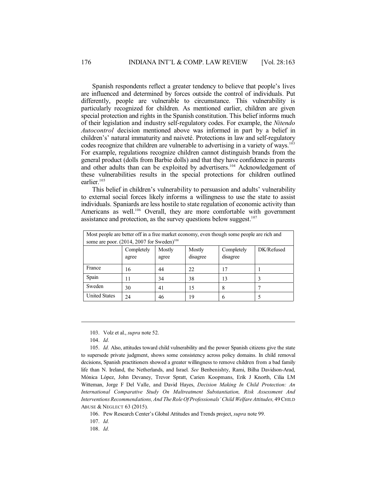Spanish respondents reflect a greater tendency to believe that people's lives are influenced and determined by forces outside the control of individuals. Put differently, people are vulnerable to circumstance. This vulnerability is particularly recognized for children. As mentioned earlier, children are given special protection and rights in the Spanish constitution. This belief informs much of their legislation and industry self-regulatory codes. For example, the *Nitendo Autocontrol* decision mentioned above was informed in part by a belief in children's' natural immaturity and naiveté. Protections in law and self-regulatory codes recognize that children are vulnerable to advertising in a variety of ways.<sup>103</sup> For example, regulations recognize children cannot distinguish brands from the general product (dolls from Barbie dolls) and that they have confidence in parents and other adults than can be exploited by advertisers.<sup>104</sup> Acknowledgement of these vulnerabilities results in the special protections for children outlined earlier. 105

This belief in children's vulnerability to persuasion and adults' vulnerability to external social forces likely informs a willingness to use the state to assist individuals. Spaniards are less hostile to state regulation of economic activity than Americans as well.<sup>106</sup> Overall, they are more comfortable with government assistance and protection, as the survey questions below suggest.<sup>107</sup>

| Most people are better off in a free market economy, even though some people are rich and |            |        |          |            |            |
|-------------------------------------------------------------------------------------------|------------|--------|----------|------------|------------|
| some are poor. (2014, 2007 for Sweden) <sup>108</sup>                                     |            |        |          |            |            |
|                                                                                           | Completely | Mostly | Mostly   | Completely | DK/Refused |
|                                                                                           | agree      | agree  | disagree | disagree   |            |
| France                                                                                    | 16         | 44     | 22       | 17         |            |
| Spain                                                                                     | 11         | 34     | 38       | 13         | 3          |
| Sweden                                                                                    | 30         | 41     | 15       | 8          |            |
| <b>United States</b>                                                                      | 24         | 46     | 19       | 6          |            |

103. Volz et al., *supra* note 52.

104. *Id.*

105. *Id.* Also, attitudes toward child vulnerability and the power Spanish citizens give the state to supersede private judgment, shows some consistency across policy domains. In child removal decisions, Spanish practitioners showed a greater willingness to remove children from a bad family life than N. Ireland, the Netherlands, and Israel. *See* Benbenishty, Rami, Bilha Davidson-Arad, Mónica López, John Devaney, Trevor Spratt, Carien Koopmans, Erik J Knorth, Cilia LM Witteman, Jorge F Del Valle, and David Hayes, *Decision Making In Child Protection: An International Comparative Study On Maltreatment Substantiation, Risk Assessment And InterventionsRecommendations,And TheRoleOfProfessionals'Child WelfareAttitudes,* 49CHILD ABUSE & NEGLECT 63 (2015).

106. Pew Research Center's Global Attitudes and Trends project, *supra* note 99.

107. *Id.*

108. *Id.*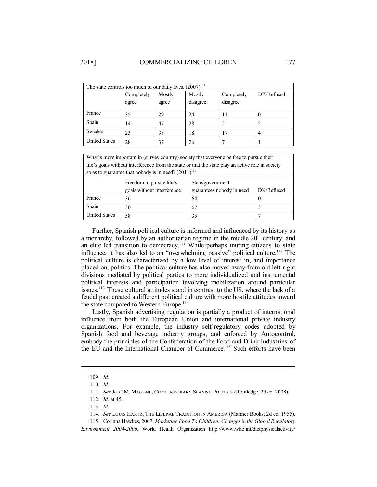| The state controls too much of our daily lives. $(2007)^{109}$ |                     |                 |                    |                        |            |
|----------------------------------------------------------------|---------------------|-----------------|--------------------|------------------------|------------|
|                                                                | Completely<br>agree | Mostly<br>agree | Mostly<br>disagree | Completely<br>disagree | DK/Refused |
| France                                                         | 35                  | 29              | 24                 | 11                     | $\theta$   |
| Spain                                                          | 14                  | 47              | 28                 |                        |            |
| Sweden                                                         | 23                  | 38              | 18                 | 17                     | 4          |
| <b>United States</b>                                           | 28                  | 37              | 26                 |                        |            |

| What's more important in (survey country) society that everyone be free to pursue their           |                                                        |                                               |            |  |  |
|---------------------------------------------------------------------------------------------------|--------------------------------------------------------|-----------------------------------------------|------------|--|--|
| life's goals without interference from the state or that the state play an active role in society |                                                        |                                               |            |  |  |
| so as to guarantee that nobody is in need? $(2011)^{110}$                                         |                                                        |                                               |            |  |  |
|                                                                                                   | Freedom to pursue life's<br>goals without interference | State/government<br>guarantees nobody in need | DK/Refused |  |  |
| France                                                                                            | 36                                                     | 64                                            | $\theta$   |  |  |
| Spain                                                                                             | 30                                                     | 67                                            |            |  |  |

United States  $\begin{array}{|c|c|c|c|c|} \hline 58 & 35 & 7 \ \hline \end{array}$ 

Further, Spanish political culture is informed and influenced by its history as a monarchy, followed by an authoritarian regime in the middle  $20<sup>th</sup>$  century, and an elite led transition to democracy.<sup>111</sup> While perhaps inuring citizens to state influence, it has also led to an "overwhelming passive" political culture.<sup>112</sup> The political culture is characterized by a low level of interest in, and importance placed on, politics. The political culture has also moved away from old left-right divisions mediated by political parties to more individualized and instrumental political interests and participation involving mobilization around particular issues.<sup>113</sup> These cultural attitudes stand in contrast to the US, where the lack of a feudal past created a different political culture with more hostile attitudes toward the state compared to Western Europe.<sup>114</sup>

Lastly, Spanish advertising regulation is partially a product of international influence from both the European Union and international private industry organizations. For example, the industry self-regulatory codes adopted by Spanish food and beverage industry groups, and enforced by Autocontrol, embody the principles of the Confederation of the Food and Drink Industries of the EU and the International Chamber of Commerce. <sup>115</sup> Such efforts have been

<sup>109.</sup> *Id.*

<sup>110.</sup> *Id.*

<sup>111.</sup> *See* JOSÉ M. MAGONE, CONTEMPORARY SPANISH POLITICS (Routledge, 2d ed. 2008).

<sup>112.</sup> *Id*. at 45.

<sup>113.</sup> *Id.*

<sup>114.</sup> *See* LOUIS HARTZ, THE LIBERAL TRADITION IN AMERICA (Mariner Books, 2d ed. 1955).

<sup>115.</sup> Corinna Hawkes, 2007. *Marketing Food To Children: Changesin the Global Regulatory Environment 2004-2006*, World Health Organization http://www.who.int/dietphysicalactivity/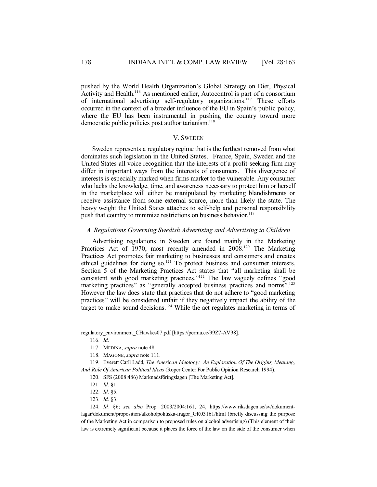pushed by the World Health Organization's Global Strategy on Diet, Physical Activity and Health.<sup>116</sup> As mentioned earlier, Autocontrol is part of a consortium of international advertising self-regulatory organizations.<sup>117</sup> These efforts occurred in the context of a broader influence of the EU in Spain's public policy, where the EU has been instrumental in pushing the country toward more democratic public policies post authoritarianism. 118

#### V. SWEDEN

Sweden represents a regulatory regime that is the farthest removed from what dominates such legislation in the United States. France, Spain, Sweden and the United States all voice recognition that the interests of a profit-seeking firm may differ in important ways from the interests of consumers. This divergence of interests is especially marked when firms market to the vulnerable. Any consumer who lacks the knowledge, time, and awareness necessary to protect him or herself in the marketplace will either be manipulated by marketing blandishments or receive assistance from some external source, more than likely the state. The heavy weight the United States attaches to self-help and personal responsibility push that country to minimize restrictions on business behavior.<sup>119</sup>

#### *A. Regulations Governing Swedish Advertising and Advertising to Children*

Advertising regulations in Sweden are found mainly in the Marketing Practices Act of 1970, most recently amended in 2008.<sup>120</sup> The Marketing Practices Act promotes fair marketing to businesses and consumers and creates ethical guidelines for doing so.<sup>121</sup> To protect business and consumer interests, Section 5 of the Marketing Practices Act states that "all marketing shall be consistent with good marketing practices." <sup>122</sup> The law vaguely defines "good marketing practices" as "generally accepted business practices and norms".<sup>123</sup> However the law does state that practices that do not adhere to "good marketing practices" will be considered unfair if they negatively impact the ability of the target to make sound decisions.<sup>124</sup> While the act regulates marketing in terms of

regulatory\_environment\_CHawkes07.pdf [https://perma.cc/99Z7-AV98].

116. *Id.*

123. *Id*. §3.

124. *Id*. §6; *see also* Prop. 2003/2004:161, 24, https://www.riksdagen.se/sv/dokumentlagar/dokument/proposition/alkoholpolitiska-fragor\_GR03161/html (briefly discussing the purpose of the Marketing Act in comparison to proposed rules on alcohol advertising) (This element of their law is extremely significant because it places the force of the law on the side of the consumer when

<sup>117.</sup> MEDINA, *supra* note 48.

<sup>118.</sup> MAGONE, *supra* note 111.

<sup>119.</sup> Everett Carll Ladd, *The American Ideology: An Exploration Of The Origins, Meaning, And Role Of American Political Ideas* (Roper Center For Public Opinion Research 1994).

<sup>120.</sup> SFS (2008:486) Marknadsföringslagen [The Marketing Act].

<sup>121.</sup> *Id*. §1.

<sup>122.</sup> *Id*. §5.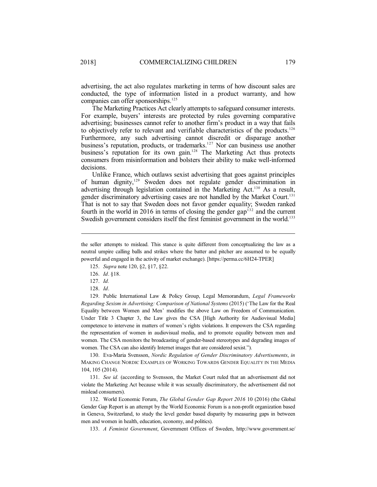advertising, the act also regulates marketing in terms of how discount sales are conducted, the type of information listed in a product warranty, and how companies can offer sponsorships.<sup>125</sup>

The Marketing Practices Act clearly attempts to safeguard consumer interests. For example, buyers' interests are protected by rules governing comparative advertising; businesses cannot refer to another firm's product in a way that fails to objectively refer to relevant and verifiable characteristics of the products.<sup>126</sup> Furthermore, any such advertising cannot discredit or disparage another business's reputation, products, or trademarks.<sup>127</sup> Nor can business use another business's reputation for its own gain.<sup>128</sup> The Marketing Act thus protects consumers from misinformation and bolsters their ability to make well-informed decisions.

Unlike France, which outlaws sexist advertising that goes against principles of human dignity,<sup>129</sup> Sweden does not regulate gender discrimination in advertising through legislation contained in the Marketing Act.<sup>130</sup> As a result, gender discriminatory advertising cases are not handled by the Market Court. 131 That is not to say that Sweden does not favor gender equality; Sweden ranked fourth in the world in 2016 in terms of closing the gender  $gap<sup>132</sup>$  and the current Swedish government considers itself the first feminist government in the world.<sup>133</sup>

- 125. *Supra* note 120, §2, §17, §22.
- 126. *Id*. §18.
- 127. *Id.*
- 128. *Id*.

129. Public International Law & Policy Group, Legal Memorandum, *Legal Frameworks Regarding Sexism in Advertising: Comparison of National Systems* (2015) ('The Law for the Real Equality between Women and Men' modifies the above Law on Freedom of Communication. Under Title 3 Chapter 3, the Law gives the CSA [High Authority for Audiovisual Media] competence to intervene in matters of women's rights violations. It empowers the CSA regarding the representation of women in audiovisual media, and to promote equality between men and women. The CSA monitors the broadcasting of gender-based stereotypes and degrading images of women. The CSA can also identify Internet images that are considered sexist.").

130. Eva-Maria Svensson, *Nordic Regulation of Gender Discriminatory Advertisements*, *in* MAKING CHANGE NORDIC EXAMPLES OF WORKING TOWARDS GENDER EQUALITY IN THE MEDIA 104, 105 (2014).

131. *See id.* (according to Svensson, the Market Court ruled that an advertisement did not violate the Marketing Act because while it was sexually discriminatory, the advertisement did not mislead consumers).

132. World Economic Forum, *The Global Gender Gap Report 2016* 10 (2016) (the Global Gender Gap Report is an attempt by the World Economic Forum is a non-profit organization based in Geneva, Switzerland, to study the level gender based disparity by measuring gaps in between men and women in health, education, economy, and politics).

133. *A Feminist Government*, Government Offices of Sweden, http://www.government.se/

the seller attempts to mislead. This stance is quite different from conceptualizing the law as a neutral umpire calling balls and strikes where the batter and pitcher are assumed to be equally powerful and engaged in the activity of market exchange). [https://perma.cc/6H24-TPER]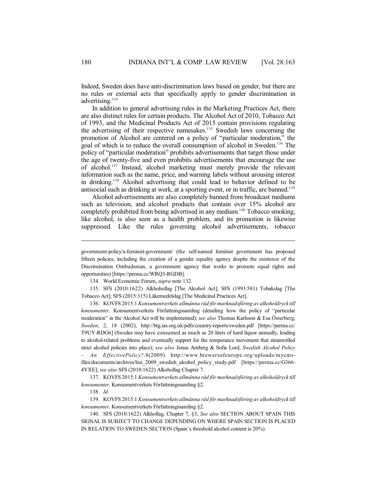Indeed, Sweden does have anti-discrimination laws based on gender, but there are no rules or external acts that specifically apply to gender discrimination in advertising. 134

In addition to general advertising rules in the Marketing Practices Act, there are also distinct rules for certain products. The Alcohol Act of 2010, Tobacco Act of 1993, and the Medicinal Products Act of 2015 contain provisions regulating the advertising of their respective namesakes.<sup>135</sup> Swedish laws concerning the promotion of Alcohol are centered on a policy of "particular moderation," the goal of which is to reduce the overall consumption of alcohol in Sweden. <sup>136</sup> The policy of "particular moderation" prohibits advertisements that target those under the age of twenty-five and even prohibits advertisements that encourage the use of alcohol. 137 Instead, alcohol marketing must merely provide the relevant information such as the name, price, and warning labels without arousing interest in drinking. <sup>138</sup> Alcohol advertising that could lead to behavior defined to be antisocial such as drinking at work, at a sporting event, or in traffic, are banned. 139

Alcohol advertisements are also completely banned from broadcast mediums such as television, and alcohol products that contain over 15% alcohol are completely prohibited from being advertised in any medium. <sup>140</sup> Tobacco smoking, like alcohol, is also seen as a health problem, and its promotion is likewise suppressed. Like the rules governing alcohol advertisements, tobacco

134. World Economic Forum, *supra* note 132.

135. SFS (2010:1622) Alkhohollag [The Alcohol Act]; SFS (1993:581) Tobakslag [The Tobacco Act]; SFS (2015:315) Läkemedelslag [The Medicinal Practices Act].

136. KOVFS 2015:1 *Konsumentverkets allmänna råd för marknadsföring av alkoholdryck till konsumenter,* Konsumentverkets Författningssamling (detailing how the policy of "particular moderation" in the Alcohol Act will be implemented); *see also* Thomas Karlsson & Esa Österberg, *Sweden*, 2, 18 (2002), http://btg.ias.org.uk/pdfs/country-reports/sweden.pdf [https://perma.cc/ T9UY-RDG6] (Swedes may have consumed as much as 20 liters of hard liquor annually, leading to alcohol-related problems and eventually support for the temperance movement that steamrolled strict alcohol policies into place); *see also* Jonas Arnberg & Sofie Lord, *Swedish Alcohol Policy – An EffectivePolicy?,*8(2009) http://www.brewersofeurope.org/uploads/mycmsfiles/documents/archives/hui\_2009\_swedish\_alcohol\_policy\_study.pdf [https://perma.cc/G366-4YXE]; *see also* SFS (2010:1622) Alkohollag Chapter 7.

137. KOVFS 2015:1 *Konsumentverkets allmänna råd för marknadsföring av alkoholdryck till konsumenter,* Konsumentverkets Författningssamling §2.

138. *Id.*

139. KOVFS 2015:1 *Konsumentverkets allmänna råd för marknadsföring av alkoholdryck till konsumenter,* Konsumentverkets Författningssamling §2.

140. SFS (2010:1622) Alkhollag, Chapter 7, §3; *See also* SECTION ABOUT SPAIN THIS SIGNAL IS SUBJECT TO CHANGE DEPENDING ON WHERE SPAIN SECTION IS PLACED IN RELATION TO SWEDEN SECTION (Spain's threshold alcohol content is 20%).

government-policy/a-feminist-government/ (the self-named feminist government has proposed fifteen policies, including the creation of a gender equality agency despite the existence of the Discrimination Ombudsman, a government agency that works to promote equal rights and opportunities) [https://perma.cc/WRQ3-RGDB].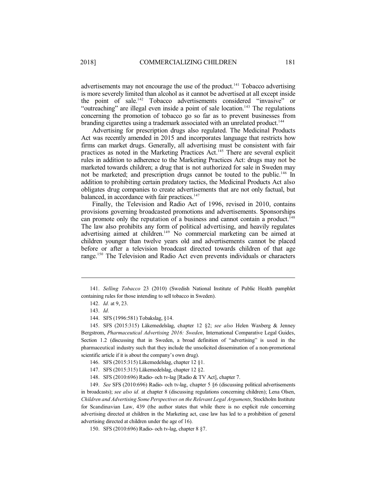advertisements may not encourage the use of the product.<sup>141</sup> Tobacco advertising is more severely limited than alcohol as it cannot be advertised at all except inside the point of sale. <sup>142</sup> Tobacco advertisements considered "invasive" or "outreaching" are illegal even inside a point of sale location.<sup>143</sup> The regulations concerning the promotion of tobacco go so far as to prevent businesses from branding cigarettes using a trademark associated with an unrelated product.<sup>144</sup>

Advertising for prescription drugs also regulated. The Medicinal Products Act was recently amended in 2015 and incorporates language that restricts how firms can market drugs. Generally, all advertising must be consistent with fair practices as noted in the Marketing Practices Act.<sup>145</sup> There are several explicit rules in addition to adherence to the Marketing Practices Act: drugs may not be marketed towards children; a drug that is not authorized for sale in Sweden may not be marketed; and prescription drugs cannot be touted to the public.<sup>146</sup> In addition to prohibiting certain predatory tactics, the Medicinal Products Act also obligates drug companies to create advertisements that are not only factual, but balanced, in accordance with fair practices.<sup>147</sup>

Finally, the Television and Radio Act of 1996, revised in 2010, contains provisions governing broadcasted promotions and advertisements. Sponsorships can promote only the reputation of a business and cannot contain a product. 148 The law also prohibits any form of political advertising, and heavily regulates advertising aimed at children. <sup>149</sup> No commercial marketing can be aimed at children younger than twelve years old and advertisements cannot be placed before or after a television broadcast directed towards children of that age range. <sup>150</sup> The Television and Radio Act even prevents individuals or characters

149. *See* SFS (2010:696) Radio- och tv-lag, chapter 5 §6 (discussing political advertisements in broadcasts); *see also id.* at chapter 8 (discussing regulations concerning children); Lena Olsen, *Children and Advertising Some Perspectives on the Relevant Legal Arguments*, Stockholm Institute for Scandinavian Law, 439 (the author states that while there is no explicit rule concerning advertising directed at children in the Marketing act, case law has led to a prohibition of general advertising directed at children under the age of 16).

<sup>141.</sup> *Selling Tobacco* 23 (2010) (Swedish National Institute of Public Health pamphlet containing rules for those intending to sell tobacco in Sweden).

<sup>142.</sup> *Id.* at 9, 23.

<sup>143.</sup> *Id.*

<sup>144.</sup> SFS (1996:581) Tobakslag, §14.

<sup>145.</sup> SFS (2015:315) Läkemedelslag, chapter 12 §2; *see also* Helen Waxberg & Jenney Bergstrom, *Pharmaceutical Advertising 2016: Sweden*, International Comparative Legal Guides, Section 1.2 (discussing that in Sweden, a broad definition of "advertising" is used in the pharmaceutical industry such that they include the unsolicited dissemination of a non-promotional scientific article if it is about the company's own drug).

<sup>146.</sup> SFS (2015:315) Läkemedelslag, chapter 12 §1.

<sup>147.</sup> SFS (2015:315) Läkemedelslag, chapter 12 §2.

<sup>148.</sup> SFS (2010:696) Radio- och tv-lag [Radio & TV Act], chapter 7.

<sup>150.</sup> SFS (2010:696) Radio- och tv-lag, chapter 8 §7.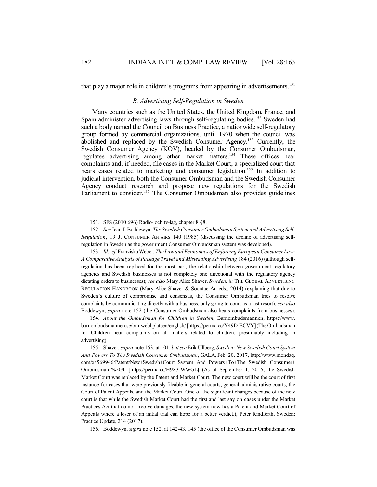that play a major role in children's programs from appearing in advertisements.<sup>151</sup>

## *B. Advertising Self-Regulation in Sweden*

Many countries such as the United States, the United Kingdom, France, and Spain administer advertising laws through self-regulating bodies.<sup>152</sup> Sweden had such a body named the Council on Business Practice, a nationwide self-regulatory group formed by commercial organizations, until 1970 when the council was abolished and replaced by the Swedish Consumer Agency.<sup>153</sup> Currently, the Swedish Consumer Agency (KOV), headed by the Consumer Ombudsman, regulates advertising among other market matters.<sup>154</sup> These offices hear complaints and, if needed, file cases in the Market Court, a specialized court that hears cases related to marketing and consumer legislation.<sup>155</sup> In addition to judicial intervention, both the Consumer Ombudsman and the Swedish Consumer Agency conduct research and propose new regulations for the Swedish Parliament to consider.<sup>156</sup> The Consumer Ombudsman also provides guidelines

153. *Id.*; *cf.* FranziskaWeber, *TheLawand Economics of Enforcing European Consumer Law: A Comparative Analysis of Package Travel and Misleading Advertising* 184 (2016) (although selfregulation has been replaced for the most part, the relationship between government regulatory agencies and Swedish businesses is not completely one directional with the regulatory agency dictating orders to businesses); *see also* Mary Alice Shaver, *Sweden, in* THE GLOBAL ADVERTISING REGULATION HANDBOOK (Mary Alice Shaver & Soontae An eds., 2014) (explaining that due to Sweden's culture of compromise and consensus, the Consumer Ombudsman tries to resolve complaints by communicating directly with a business, only going to court as a last resort); *see also* Boddewyn, *supra* note 152 (the Consumer Ombudsman also hears complaints from businesses).

154. *About the Ombudsman for Children in Sweden,* Barnombudsmannen, https://www. barnombudsmannen.se/om-webbplatsen/english/[https://perma.cc/Y49D-ECVY](The Ombudsman for Children hear complaints on all matters related to children, presumably including in advertising).

155. Shaver, *supra* note 153, at 101; *butsee* Erik Ullberg, *Sweden: New Swedish Court System And Powers To The Swedish Consumer Ombudsman*, GALA, Feb. 20, 2017, http://www.mondaq. com/x/569946/Patent/New+Swedish+Court+System+And+Powers+To+The+Swedish+Consumer+ Ombudsman"%20/h [https://perma.cc/H9Z3-WWGL**]** (As of September 1, 2016, the Swedish Market Court was replaced by the Patent and Market Court. The new court will be the court of first instance for cases that were previously fileable in general courts, general administrative courts, the Court of Patent Appeals, and the Market Court. One of the significant changes because of the new court is that while the Swedish Market Court had the first and last say on cases under the Market Practices Act that do not involve damages, the new system now has a Patent and Market Court of Appeals where a loser of an initial trial can hope for a better verdict.); Peter Rindforth, Sweden: Practice Update, 214 (2017).

156. Boddewyn, *supra* note 152, at 142-43, 145 (the office of the Consumer Ombudsman was

<sup>151.</sup> SFS (2010:696) Radio- och tv-lag, chapter 8 §8.

<sup>152.</sup> *See* Jean J. Boddewyn, *The Swedish ConsumerOmbudsman System and Advertising Self-Regulation*, 19 J. CONSUMER AFFAIRS 140 (1985) (discussing the decline of advertising selfregulation in Sweden as the government Consumer Ombudsman system was developed).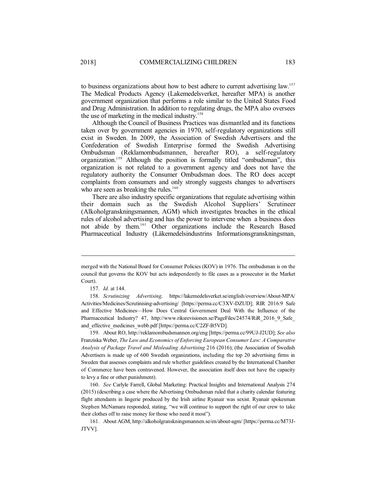to business organizations about how to best adhere to current advertising law.<sup>157</sup> The Medical Products Agency (Lakemedelsverket, hereafter MPA) is another government organization that performs a role similar to the United States Food and Drug Administration. In addition to regulating drugs, the MPA also oversees the use of marketing in the medical industry. 158

Although the Council of Business Practices was dismantled and its functions taken over by government agencies in 1970, self-regulatory organizations still exist in Sweden. In 2009, the Association of Swedish Advertisers and the Confederation of Swedish Enterprise formed the Swedish Advertising Ombudsman (Reklamombudsmannen, hereafter RO), a self-regulatory organization. <sup>159</sup> Although the position is formally titled "ombudsman", this organization is not related to a government agency and does not have the regulatory authority the Consumer Ombudsman does. The RO does accept complaints from consumers and only strongly suggests changes to advertisers who are seen as breaking the rules.<sup>160</sup>

There are also industry specific organizations that regulate advertising within their domain such as the Swedish Alcohol Suppliers' Scrutineer (Alkoholgranskningsmannen, AGM) which investigates breaches in the ethical rules of alcohol advertising and has the power to intervene when a business does not abide by them. <sup>161</sup> Other organizations include the Research Based Pharmaceutical Industry (Läkemedelsindustrins Informationsgranskningsman,

159. About RO, http://reklamombudsmannen.org/eng [https://perma.cc/99UJ-J2UD]; *See also* Franziska Weber, *The Law and Economics of Enforcing European Consumer Law: A Comparative Analysis of Package Travel and Misleading Advertising* 216 (2016); (the Association of Swedish Advertisers is made up of 600 Swedish organizations, including the top 20 advertising firms in Sweden that assesses complaints and rule whether guidelines created by the International Chamber of Commerce have been contravened. However, the association itself does not have the capacity to levy a fine or other punishment).

160. *See* Carlyle Farrell, Global Marketing: Practical Insights and International Analysis 274 (2015) (describing a case where the Advertising Ombudsman ruled that a charity calendar featuring flight attendants in lingerie produced by the Irish airline Ryanair was sexist. Ryanair spokesman Stephen McNamara responded, stating, "we will continue to support the right of our crew to take their clothes off to raise money for those who need it most").

merged with the National Board for Consumer Policies (KOV) in 1976. The ombudsman is on the council that governs the KOV but acts independently to file cases as a prosecutor in the Market Court).

<sup>157.</sup> *Id.* at 144.

<sup>158.</sup> *Scrutinizing Advertising,* https://lakemedelsverket.se/english/overview/About-MPA/ Activities/Medicines/Scrutinising-advertising/ [https://perma.cc/C3XV-DZUD]; RIR 2016:9 Safe and Effective Medicines—How Does Central Government Deal With the Influence of the Pharmaceutical Industry? 47, http://www.riksrevisionen.se/PageFiles/24574/RiR\_2016\_9\_Safe and effective medicines webb.pdf [https://perma.cc/C2ZF-B5VD].

<sup>161.</sup> About AGM, http://alkoholgranskningsmannen.se/en/about-agm/ [https://perma.cc/M73J-JTVV].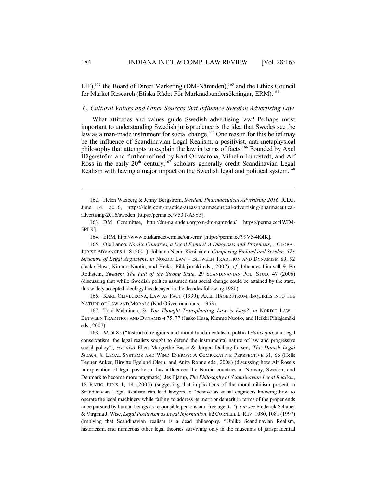LIF),<sup>162</sup> the Board of Direct Marketing (DM-Nämnden),<sup>163</sup> and the Ethics Council for Market Research (Etiska Rådet För Marknadsundersökningar, ERM). 164

### *C. Cultural Values and Other Sources that Influence Swedish Advertising Law*

What attitudes and values guide Swedish advertising law? Perhaps most important to understanding Swedish jurisprudence is the idea that Swedes see the law as a man-made instrument for social change. <sup>165</sup> One reason for this belief may be the influence of Scandinavian Legal Realism, a positivist, anti-metaphysical philosophy that attempts to explain the law in terms of facts.<sup>166</sup> Founded by Axel Hägerström and further refined by Karl Olivecrona, Vilhelm Lundstedt, and Alf Ross in the early  $20<sup>th</sup>$  century,<sup>167</sup> scholars generally credit Scandinavian Legal Realism with having a major impact on the Swedish legal and political system. 168

164. ERM, http://www.etiskaradet-erm.se/om-erm/ [https://perma.cc/99V5-4K4K].

165. Ole Lando, *Nordic Countries, a Legal Family? A Diagnosis and Prognosis*, 1 GLOBAL JURIST ADVANCES 1, 8 (2001); Johanna Niemi-Kiesiläinen, *Comparing Finland and Sweden: The Structure of Legal Argument*, *in* NORDIC LAW – BETWEEN TRADITION AND DYNAMISM 89, 92 (Jaako Husa, Kimmo Nuotio, and Heikki Pihlajamäki eds., 2007); *cf.* Johannes Lindvall & Bo Rothstein, *Sweden: The Fall of the Strong State*, 29 SCANDINAVIAN POL. STUD. 47 (2006) (discussing that while Swedish politics assumed that social change could be attained by the state, this widely accepted ideology has decayed in the decades following 1980).

166. KARL OLIVECRONA, LAW AS FACT (1939); AXEL HÄGERSTRÖM, INQUIRIES INTO THE NATURE OF LAW AND MORALS (Karl Olivecrona trans., 1953).

167. Toni Malminen, *So You Thought Transplanting Law is Easy?*, *in* NORDIC LAW – BETWEEN TRADITION AND DYNAMISM 75, 77 (Jaako Husa, Kimmo Nuotio, and Heikki Pihlajamäki eds., 2007).

168. *Id.* at 82 ("Instead of religious and moral fundamentalism, political *status quo*, and legal conservatism, the legal realists sought to defend the instrumental nature of law and progressive social policy"); *see also* Ellen Margrethe Basse & Jørgen Dalberg-Larsen, *The Danish Legal System*, *in* LEGAL SYSTEMS AND WIND ENERGY: A COMPARATIVE PERSPECTIVE 61, 66 (Helle Tegner Anker, Birgitte Egelund Olsen, and Anita Rønne eds., 2008) (discussing how Alf Ross's interpretation of legal positivism has influenced the Nordic countries of Norway, Sweden, and Denmark to become more pragmatic); Jes Bjarup, *The Philosophy of Scandinavian Legal Realism*, 18 RATIO JURIS 1, 14 (2005) (suggesting that implications of the moral nihilism present in Scandinavian Legal Realism can lead lawyers to "behave as social engineers knowing how to operate the legal machinery while failing to address its merit or demerit in terms of the proper ends to be pursued by human beings as responsible persons and free agents "); *but see* Frederick Schauer & Virginia J. Wise, *Legal Positivism as Legal Information*, 82 CORNELL L.REV. 1080, 1081 (1997) (implying that Scandinavian realism is a dead philosophy. "Unlike Scandinavian Realism, historicism, and numerous other legal theories surviving only in the museums of jurisprudential

<sup>162.</sup> Helen Waxberg & Jenny Bergstrom, *Sweden: Pharmaceutical Advertising 2016,* ICLG, June 14, 2016, https://iclg.com/practice-areas/pharmaceutical-advertising/pharmaceuticaladvertising-2016/sweden [https://perma.cc/V53T-A5Y5].

<sup>163.</sup> DM Committee, http://dm-namnden.org/om-dm-namnden/ [https://perma.cc/4WD4- 5PLR].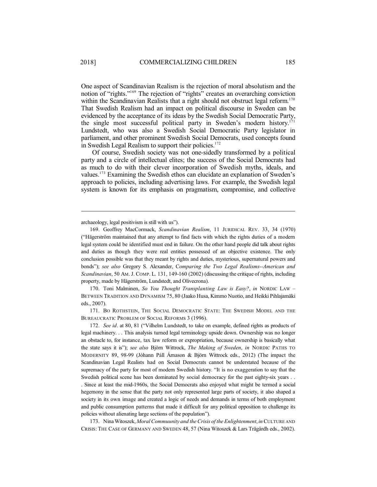One aspect of Scandinavian Realism is the rejection of moral absolutism and the notion of "rights." <sup>169</sup> The rejection of "rights" creates an overarching conviction within the Scandinavian Realists that a right should not obstruct legal reform.<sup>170</sup> That Swedish Realism had an impact on political discourse in Sweden can be evidenced by the acceptance of its ideas by the Swedish Social Democratic Party, the single most successful political party in Sweden's modern history. 171 Lundstedt, who was also a Swedish Social Democratic Party legislator in parliament, and other prominent Swedish Social Democrats, used concepts found in Swedish Legal Realism to support their policies.<sup>172</sup>

Of course, Swedish society was not one-sidedly transformed by a political party and a circle of intellectual elites; the success of the Social Democrats had as much to do with their clever incorporation of Swedish myths, ideals, and values.<sup>173</sup> Examining the Swedish ethos can elucidate an explanation of Sweden's approach to policies, including advertising laws. For example, the Swedish legal system is known for its emphasis on pragmatism, compromise, and collective

170. Toni Malminen, *So You Thought Transplanting Law is Easy?*, *in* NORDIC LAW – BETWEEN TRADITION AND DYNAMISM 75, 80 (Jaako Husa, Kimmo Nuotio, and Heikki Pihlajamäki eds., 2007).

171. BO ROTHSTEIN, THE SOCIAL DEMOCRATIC STATE: THE SWEDISH MODEL AND THE BUREAUCRATIC PROBLEM OF SOCIAL REFORMS 3 (1996).

172. *See id*. at 80, 81 ("Vilhelm Lundstedt, to take on example, defined rights as products of legal machinery. . . This analysis turned legal terminology upside down. Ownership was no longer an obstacle to, for instance, tax law reform or expropriation, because ownership is basically what the state says it is"); *see also* Björn Wittrock, *The Making of Sweden*, *in* NORDIC PATHS TO MODERNITY 89, 98-99 (Jóhann Páll Árnason & Björn Wittrock eds., 2012) (The impact the Scandinavian Legal Realists had on Social Democrats cannot be understated because of the supremacy of the party for most of modern Swedish history. "It is no exaggeration to say that the Swedish political scene has been dominated by social democracy for the past eighty-six years . . . Since at least the mid-1960s, the Social Democrats also enjoyed what might be termed a social hegemony in the sense that the party not only represented large parts of society, it also shaped a society in its own image and created a logic of needs and demands in terms of both employment and public consumption patterns that made it difficult for any political opposition to challenge its policies without alienating large sections of the population").

173. NinaWitoszek, *MoralCommuunity and theCrisis of the Enlightenment*, *in*CULTURE AND CRISIS: THE CASE OF GERMANY AND SWEDEN 48, 57 (Nina Witoszek & Lars Trägårdh eds., 2002).

archaeology, legal positivism is still with us").

<sup>169.</sup> Geoffrey MacCormack, *Scandinavian Realism*, 11 JURIDICAL REV. 33, 34 (1970) ("Hägerström maintained that any attempt to find facts with which the rights duties of a modern legal system could be identified must end in failure. On the other hand people did talk about rights and duties as though they were real entities possessed of an objective existence. The only conclusion possible was that they meant by rights and duties, mysterious, supernatural powers and bonds"); *see also* Gregory S. Alexander, C*omparing the Two Legal Realisms--American and Scandinavian*, 50 AM. J. COMP. L. 131, 149-160 (2002) (discussing the critique of rights, including property, made by Hägerström, Lundstedt, and Olivecrona).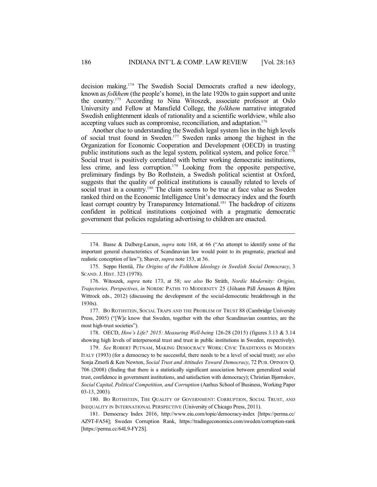decision making. <sup>174</sup> The Swedish Social Democrats crafted a new ideology, known as *folkhem* (the people's home), in the late 1920s to gain support and unite the country. <sup>175</sup> According to Nina Witoszek, associate professor at Oslo University and Fellow at Mansfield College, the *folkhem* narrative integrated Swedish enlightenment ideals of rationality and a scientific worldview, while also accepting values such as compromise, reconciliation, and adaptation. 176

Another clue to understanding the Swedish legal system lies in the high levels of social trust found in Sweden. <sup>177</sup> Sweden ranks among the highest in the Organization for Economic Cooperation and Development (OECD) in trusting public institutions such as the legal system, political system, and police force.<sup>178</sup> Social trust is positively correlated with better working democratic institutions, less crime, and less corruption. <sup>179</sup> Looking from the opposite perspective, preliminary findings by Bo Rothstein, a Swedish political scientist at Oxford, suggests that the quality of political institutions is causally related to levels of social trust in a country.<sup>180</sup> The claim seems to be true at face value as Sweden ranked third on the Economic Intelligence Unit's democracy index and the fourth least corrupt country by Transparency International. <sup>181</sup> The backdrop of citizens confident in political institutions conjoined with a pragmatic democratic government that policies regulating advertising to children are enacted.

176. Witoszek, *supra* note 173, at 58; *see also* Bo Stråth, *Nordic Modernity: Origins, Trajectories, Perspectives*, *in* NORDIC PATHS TO MODERNITY 25 (Jóhann Páll Árnason & Björn Wittrock eds., 2012) (discussing the development of the social-democratic breakthrough in the 1930s).

177. BO ROTHSTEIN, SOCIAL TRAPS AND THE PROBLEM OF TRUST 88 (Cambridge University Press, 2005) ("[W]e know that Sweden, together with the other Scandinavian countries, are the most high-trust societies").

178. OECD, *How's Life? 2015: Measuring Well-being* 126-28 (2015) (figures 3.13 & 3.14 showing high levels of interpersonal trust and trust in public institutions in Sweden, respectively).

179. *See* ROBERT PUTNAM, MAKING DEMOCRACY WORK: CIVIC TRADITIONS IN MODERN ITALY (1993) (for a democracy to be successful, there needs to be a level of social trust); *see also* Sonja Zmerli & Ken Newton, *Social Trust and Attitudes Toward Democracy*, 72 PUB. OPINION Q. 706 (2008) (finding that there is a statistically significant association between generalized social trust, confidence in government institutions, and satisfaction with democracy); Christian Bjørnskov, *Social Capital, Political Competition, and Corruption* (Aarhus School of Business, Working Paper 03-13, 2003)*.*

180. BO ROTHSTEIN, THE QUALITY OF GOVERNMENT: CORRUPTION, SOCIAL TRUST, AND INEQUALITY IN INTERNATIONAL PERSPECTIVE (University of Chicago Press, 2011).

181. Democracy Index 2016, http://www.eiu.com/topic/democracy-index [https://perma.cc/ AZ9T-FA54]; Sweden Corruption Rank, https://tradingeconomics.com/sweden/corruption-rank [https://perma.cc/64L9-FY2S].

<sup>174.</sup> Basse & Dalberg-Larsen, *supra* note 168, at 66 ("An attempt to identify some of the important general characteristics of Scandinavian law would point to its pragmatic, practical and realistic conception of law"); Shaver, *supra* note 153, at 36.

<sup>175.</sup> Seppo Hentiä, *The Origins of the Folkhem Ideology in Swedish Social Democracy*, 3 SCAND. J. HIST. 323 (1978).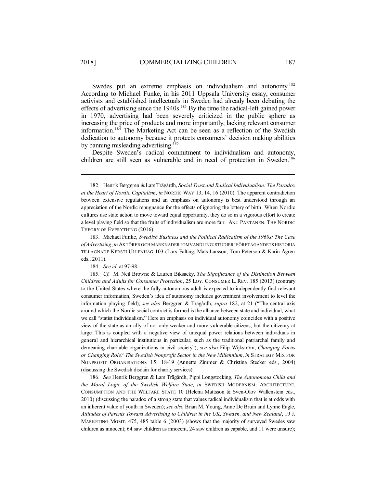Swedes put an extreme emphasis on individualism and autonomy.<sup>182</sup> According to Michael Funke, in his 2011 Uppsala University essay, consumer activists and established intellectuals in Sweden had already been debating the effects of advertising since the  $1940s$ .<sup>183</sup> By the time the radical-left gained power in 1970, advertising had been severely criticized in the public sphere as increasing the price of products and more importantly, lacking relevant consumer information.<sup>184</sup> The Marketing Act can be seen as a reflection of the Swedish dedication to autonomy because it protects consumers' decision making abilities by banning misleading advertising.<sup>185</sup>

Despite Sweden's radical commitment to individualism and autonomy, children are still seen as vulnerable and in need of protection in Sweden. 186

184. *See id.* at 97-98.

185. *Cf.* M. Neil Browne & Lauren Biksacky, *The Significance of the Distinction Between Children and Adults for Consumer Protection*, 25 LOY. CONSUMER L. REV. 185 (2013) (contrary to the United States where the fully autonomous adult is expected to independently find relevant consumer information, Sweden's idea of autonomy includes government involvement to level the information playing field); *see also* Berggren & Trägårdh, *supra* 182, at 21 ("The central axis around which the Nordic social contract is formed is the alliance between state and individual, what we call "statist individualism." Here an emphasis on individual autonomy coincides with a positive view of the state as an ally of not only weaker and more vulnerable citizens, but the citizenry at large. This is coupled with a negative view of unequal power relations between individuals in general and hierarchical institutions in particular, such as the traditional patriarchal family and demeaning charitable organizations in civil society"); *see also* Filip Wijkström, *Changing Focus or Changing Role? The Swedish Nonprofit Sector in the New Millennium*, *in* STRATEGY MIX FOR NONPROFIT ORGANISATIONS 15, 18-19 (Annette Zimmer & Christina Stecker eds., 2004) (discussing the Swedish disdain for charity services).

186. *See* Henrik Berggren & Lars Trägårdh, Pippi Longstocking, *The Autonomous Child and the Moral Logic of the Swedish Welfare State*, *in* SWEDISH MODERNISM: ARCHITECTURE, CONSUMPTION AND THE WELFARE STATE 10 (Helena Mattsson & Sven-Olov Wallenstein eds., 2010) (discussing the paradox of a strong state that values radical individualism that is at odds with an inherent value of youth in Sweden); *see also* Brian M. Young, Anne De Bruin and Lynne Eagle, *Attitudes of Parents Toward Advertising to Children in the UK, Sweden, and New Zealand*, 19 J. MARKETING MGMT. 475, 485 table 6 (2003) (shows that the majority of surveyed Swedes saw children as innocent; 64 saw children as innocent, 24 saw children as capable, and 11 were unsure);

<sup>182.</sup> Henrik Berggren &Lars Trägårdh, *Social Trust and Radical Individualism: The Paradox at the Heart of Nordic Capitalism*, *in* NORDIC WAY 13, 14, 16 (2010). The apparent contradiction between extensive regulations and an emphasis on autonomy is best understood through an appreciation of the Nordic repugnance for the effects of ignoring the lottery of birth. When Nordic cultures use state action to move toward equal opportunity, they do so in a vigorous effort to create a level playing field so that the fruits of individualism are more fair. ANU PARTANEN, THE NORDIC THEORY OF EVERYTHING (2016).

<sup>183.</sup> Michael Funke, *Swedish Business and the Political Radicalism of the 1960s: The Case ofAdvertising*, *in* AKTÖRER OCH MARKNADER IOMVANDLING:STUDIERIFÖRETAGANDETS HISTORIA TILLÄGNADE KERSTI ULLENHAG 103 (Lars Fälting, Mats Larsson, Tom Peterson & Karin Ågren eds., 2011).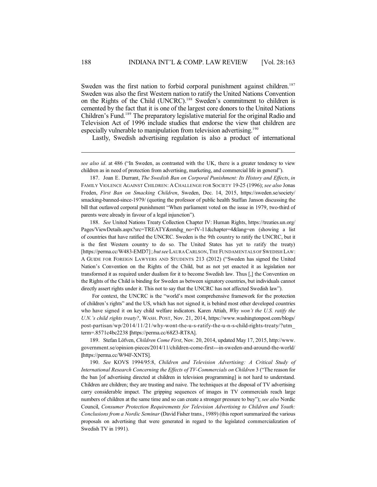Sweden was the first nation to forbid corporal punishment against children.<sup>187</sup> Sweden was also the first Western nation to ratify the United Nations Convention on the Rights of the Child (UNCRC). <sup>188</sup> Sweden's commitment to children is cemented by the fact that it is one of the largest core donors to the United Nations Children's Fund. <sup>189</sup> The preparatory legislative material for the original Radio and Television Act of 1996 include studies that endorse the view that children are especially vulnerable to manipulation from television advertising.<sup>190</sup>

Lastly, Swedish advertising regulation is also a product of international

*see also id.* at 486 ("In Sweden, as contrasted with the UK, there is a greater tendency to view children as in need of protection from advertising, marketing, and commercial life in general").

187. Joan E. Durrant, *The Swedish Ban on Corporal Punishment: Its History and Effects*, *in* FAMILY VIOLENCE AGAINST CHILDREN: A CHALLENGE FOR SOCIETY 19-25 (1996); *see also* Jonas Freden, *First Ban on Smacking Children*, Sweden, Dec. 14, 2015, https://sweden.se/society/ smacking-banned-since-1979/ (quoting the professor of public health Staffan Janson discussing the bill that outlawed corporal punishment "When parliament voted on the issue in 1979, two-third of parents were already in favour of a legal injunction").

188. *See* United Nations Treaty Collection Chapter IV: Human Rights, https://treaties.un.org/ Pages/ViewDetails.aspx?src=TREATY&mtdsg\_no=IV-11&chapter=4&lang=en (showing a list of countries that have ratified the UNCRC. Sweden is the 9th country to ratify the UNCRC, but it is the first Western country to do so. The United States has yet to ratify the treaty) [https://perma.cc/W483-EMD7]; *butsee*LAURA CARLSON,THE FUNDAMENTALS OF SWEDISH LAW: A GUIDE FOR FOREIGN LAWYERS AND STUDENTS 213 (2012) ("Sweden has signed the United Nation's Convention on the Rights of the Child, but as not yet enacted it as legislation nor transformed it as required under dualism for it to become Swedish law. Thus [,] the Convention on the Rights of the Child is binding for Sweden as between signatory countries, but individuals cannot directly assert rights under it. This not to say that the UNCRC has not affected Swedish law").

For context, the UNCRC is the "world's most comprehensive framework for the protection of children's rights" and the US, which has not signed it, is behind most other developed countries who have signed it on key child welfare indicators. Karen Attiah, *Why won't the U.S. ratify the U.N.'s child rights treaty?*, WASH. POST, Nov. 21, 2014, https://www.washingtonpost.com/blogs/ post-partisan/wp/2014/11/21/why-wont-the-u-s-ratify-the-u-n-s-child-rights-treaty/?utm\_ term=.8571c4bc2238 **[**https://perma.cc/68Z3-RT8A].

189. Stefan Löfven, *Children Come First*, Nov. 20, 2014, updated May 17, 2015, http://www. government.se/opinion-pieces/2014/11/children-come-first---in-sweden-and-around-the-world/ **[**https://perma.cc/W94F-XNTS].

190. *See* KOVS 1994/95:8, *Children and Television Advertising: A Critical Study of International Research Concerning the Effects of TV-Commercials on Children* 3 ("The reason for the ban [of advertising directed at children in television programming] is not hard to understand. Children are children; they are trusting and naive. The techniques at the disposal of TV advertising carry considerable impact. The gripping sequences of images in TV commercials reach large numbers of children at the same time and so can create a stronger pressure to buy"); *see also* Nordic Council, *Consumer Protection Requirements for Television Advertising to Children and Youth: Conclusions from a Nordic Seminar* (David Fisher trans., 1989) (thisreport summarized the various proposals on advertising that were generated in regard to the legislated commercialization of Swedish TV in 1991).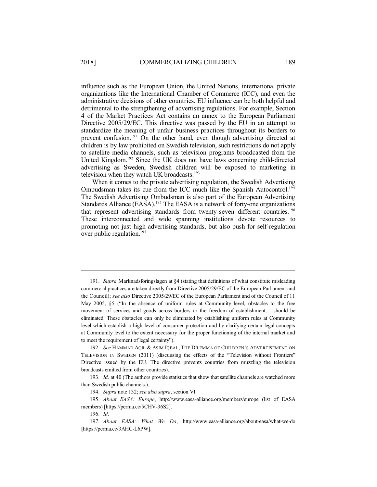influence such as the European Union, the United Nations, international private organizations like the International Chamber of Commerce (ICC), and even the administrative decisions of other countries. EU influence can be both helpful and detrimental to the strengthening of advertising regulations. For example, Section 4 of the Market Practices Act contains an annex to the European Parliament Directive 2005/29/EC. This directive was passed by the EU in an attempt to standardize the meaning of unfair business practices throughout its borders to prevent confusion.<sup>191</sup> On the other hand, even though advertising directed at children is by law prohibited on Swedish television, such restrictions do not apply to satellite media channels, such as television programs broadcasted from the United Kingdom.<sup>192</sup> Since the UK does not have laws concerning child-directed advertising as Sweden, Swedish children will be exposed to marketing in television when they watch UK broadcasts.<sup>193</sup>

When it comes to the private advertising regulation, the Swedish Advertising Ombudsman takes its cue from the ICC much like the Spanish Autocontrol. 194 The Swedish Advertising Ombudsman is also part of the European Advertising Standards Alliance (EASA). <sup>195</sup> The EASA is a network of forty-one organizations that represent advertising standards from twenty-seven different countries.<sup>196</sup> These interconnected and wide spanning institutions devote resources to promoting not just high advertising standards, but also push for self-regulation over public regulation. 197

191. *Supra* Marknadsföringslagen at §4 (stating that definitions of what constitute misleading commercial practices are taken directly from Directive 2005/29/EC of the European Parliament and the Council); *see also* Directive 2005/29/EC of the European Parliament and of the Council of 11 May 2005, §5 ("In the absence of uniform rules at Community level, obstacles to the free movement of services and goods across borders or the freedom of establishment… should be eliminated. These obstacles can only be eliminated by establishing uniform rules at Community level which establish a high level of consumer protection and by clarifying certain legal concepts at Community level to the extent necessary for the proper functioning of the internal market and to meet the requirement of legal certainty").

192. *See* HAMMAD AQIL & ASIM IQBAL, THE DILEMMA OF CHILDREN'S ADVERTISEMENT ON TELEVISION IN SWEDEN (2011) (discussing the effects of the "Television without Frontiers" Directive issued by the EU. The directive prevents countries from muzzling the television broadcasts emitted from other countries).

193. *Id.* at 40 (The authors provide statistics that show that satellite channels are watched more than Swedish public channels.).

194. *Supra* note 132; *see also supra*, section VI.

195. *About EASA: Europe*, http://www.easa-alliance.org/members/europe (list of EASA members) [https://perma.cc/5CHV-36S2].

196. *Id.*

197. *About EASA: What We Do*, http://www.easa-alliance.org/about-easa/what-we-do **[**https://perma.cc/3AHC-L6PW].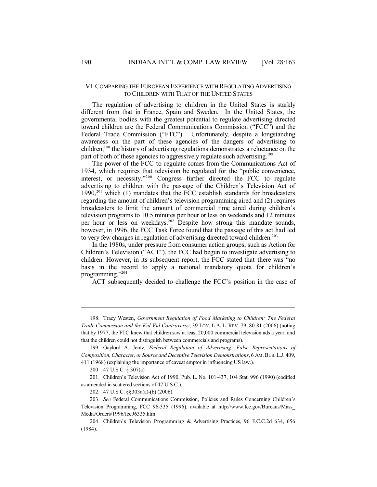#### VI. COMPARING THE EUROPEAN EXPERIENCE WITH REGULATING ADVERTISING TO CHILDREN WITH THAT OF THE UNITED STATES

The regulation of advertising to children in the United States is starkly different from that in France, Spain and Sweden. In the United States, the governmental bodies with the greatest potential to regulate advertising directed toward children are the Federal Communications Commission ("FCC") and the Federal Trade Commission ("FTC"). Unfortunately, despite a longstanding awareness on the part of these agencies of the dangers of advertising to children, 198 the history of advertising regulations demonstrates a reluctance on the part of both of these agencies to aggressively regulate such advertising.<sup>199</sup>

The power of the FCC to regulate comes from the Communications Act of 1934, which requires that television be regulated for the "public convenience, interest, or necessity." <sup>200</sup> Congress further directed the FCC to regulate advertising to children with the passage of the Children's Television Act of  $1990$ ,<sup>201</sup> which (1) mandates that the FCC establish standards for broadcasters regarding the amount of children's television programming aired and (2) requires broadcasters to limit the amount of commercial time aired during children's television programs to 10.5 minutes per hour or less on weekends and 12 minutes per hour or less on weekdays.<sup>202</sup> Despite how strong this mandate sounds, however, in 1996, the FCC Task Force found that the passage of this act had led to very few changes in regulation of advertising directed toward children. 203

In the 1980s, under pressure from consumer action groups, such as Action for Children's Television ("ACT"), the FCC had begun to investigate advertising to children. However, in its subsequent report, the FCC stated that there was "no basis in the record to apply a national mandatory quota for children's programming." 204

ACT subsequently decided to challenge the FCC's position in the case of

202. 47 U.S.C. §§303a(a)-(b) (2006).

<sup>198.</sup> Tracy Westen, *Government Regulation of Food Marketing to Children: The Federal Trade Commission and the Kid-Vid Controversy*, 39 LOY. L.A. L. REV. 79, 80-81 (2006) (noting that by 1977, the FTC knew that children saw at least 20,000 commercial television ads a year, and that the children could not distinguish between commercials and programs).

<sup>199.</sup> Gaylord A. Jentz, *Federal Regulation of Advertising: False Representations of Composition, Character, or Source and Deceptive Television Demonstrations*, 6 AM.BUS.L.J. 409, 411 (1968) (explaining the importance of caveat emptor in influencing US law.).

<sup>200.</sup> 47 U.S.C. § 307(a)

<sup>201.</sup> Children's Television Act of 1990, Pub. L. No. 101-437, 104 Stat. 996 (1990) (codified as amended in scattered sections of 47 U.S.C.).

<sup>203.</sup> *See* Federal Communications Commission, Policies and Rules Concerning Children's Television Programming, FCC 96-335 (1996), available at http://www.fcc.gov/Bureaus/Mass\_ Media/Orders/1996/fcc96335.htm.

<sup>204.</sup> Children's Television Programming & Advertising Practices, 96 F.C.C.2d 634, 656 (1984).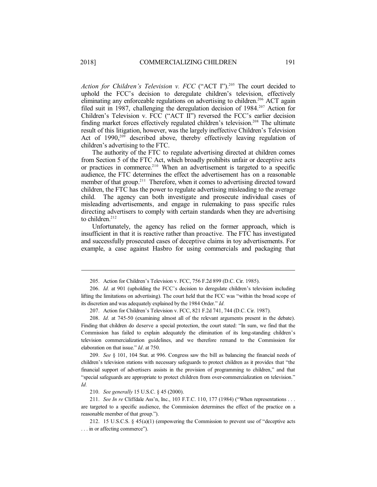*Action for Children's Television v. FCC* ("ACT I"). <sup>205</sup> The court decided to uphold the FCC's decision to deregulate children's television, effectively eliminating any enforceable regulations on advertising to children.<sup>206</sup> ACT again filed suit in 1987, challenging the deregulation decision of 1984.<sup>207</sup> Action for Children's Television v. FCC ("ACT II") reversed the FCC's earlier decision finding market forces effectively regulated children's television. <sup>208</sup> The ultimate result of this litigation, however, was the largely ineffective Children's Television Act of 1990,<sup>209</sup> described above, thereby effectively leaving regulation of children's advertising to the FTC.

The authority of the FTC to regulate advertising directed at children comes from Section 5 of the FTC Act, which broadly prohibits unfair or deceptive acts or practices in commerce. <sup>210</sup> When an advertisement is targeted to a specific audience, the FTC determines the effect the advertisement has on a reasonable member of that group.<sup>211</sup> Therefore, when it comes to advertising directed toward children, the FTC has the power to regulate advertising misleading to the average child. The agency can both investigate and prosecute individual cases of misleading advertisements, and engage in rulemaking to pass specific rules directing advertisers to comply with certain standards when they are advertising to children. 212

Unfortunately, the agency has relied on the former approach, which is insufficient in that it is reactive rather than proactive. The FTC has investigated and successfully prosecuted cases of deceptive claims in toy advertisements. For example, a case against Hasbro for using commercials and packaging that

207. Action for Children's Television v. FCC, 821 F.2d 741, 744 (D.C. Cir. 1987).

208. *Id.* at 745-50 (examining almost all of the relevant arguments present in the debate). Finding that children do deserve a special protection, the court stated: "In sum, we find that the Commission has failed to explain adequately the elimination of its long-standing children's television commercialization guidelines, and we therefore remand to the Commission for elaboration on that issue." *Id*. at 750.

209. *See* § 101, 104 Stat. at 996. Congress saw the bill as balancing the financial needs of children's television stations with necessary safeguards to protect children as it provides that "the financial support of advertisers assists in the provision of programming to children," and that "special safeguards are appropriate to protect children from over-commercialization on television." *Id.*

210. *See generally* 15 U.S.C. § 45 (2000).

211. *See In re* Cliffdale Ass'n, Inc., 103 F.T.C. 110, 177 (1984) ("When representations . . . are targeted to a specific audience, the Commission determines the effect of the practice on a reasonable member of that group.").

212. 15 U.S.C.S. § 45(a)(1) (empowering the Commission to prevent use of "deceptive acts . . . in or affecting commerce").

<sup>205.</sup> Action for Children's Television v. FCC, 756 F.2d 899 (D.C. Cir. 1985).

<sup>206.</sup> *Id.* at 901 (upholding the FCC's decision to deregulate children's television including lifting the limitations on advertising). The court held that the FCC was "within the broad scope of its discretion and was adequately explained by the 1984 Order." *Id.*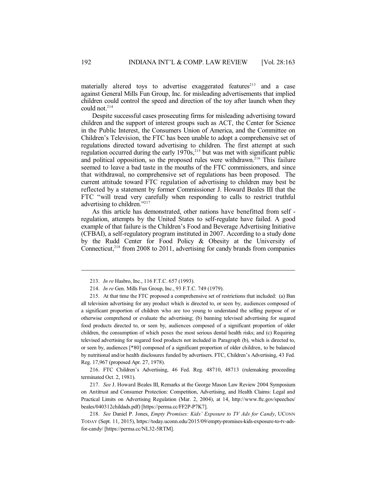materially altered toys to advertise exaggerated features<sup>213</sup> and a case against General Mills Fun Group, Inc. for misleading advertisements that implied children could control the speed and direction of the toy after launch when they could not.<sup>214</sup>

Despite successful cases prosecuting firms for misleading advertising toward children and the support of interest groups such as ACT, the Center for Science in the Public Interest, the Consumers Union of America, and the Committee on Children's Television, the FTC has been unable to adopt a comprehensive set of regulations directed toward advertising to children. The first attempt at such regulation occurred during the early 1970s,<sup>215</sup> but was met with significant public and political opposition, so the proposed rules were withdrawn. <sup>216</sup> This failure seemed to leave a bad taste in the mouths of the FTC commissioners, and since that withdrawal, no comprehensive set of regulations has been proposed. The current attitude toward FTC regulation of advertising to children may best be reflected by a statement by former Commissioner J. Howard Beales III that the FTC "will tread very carefully when responding to calls to restrict truthful advertising to children."<sup>217</sup>

As this article has demonstrated, other nations have benefitted from self regulation, attempts by the United States to self-regulate have failed. A good example of that failure is the Children's Food and Beverage Advertising Initiative (CFBAI), a self-regulatory program instituted in 2007. According to a study done by the Rudd Center for Food Policy & Obesity at the University of Connecticut, 218 from 2008 to 2011, advertising for candy brands from companies

216. FTC Children's Advertising, 46 Fed. Reg. 48710, 48713 (rulemaking proceeding terminated Oct. 2, 1981).

217. *See* J. Howard Beales III, Remarks at the George Mason Law Review 2004 Symposium on Antitrust and Consumer Protection: Competition, Advertising, and Health Claims: Legal and Practical Limits on Advertising Regulation (Mar. 2, 2004), at 14, http://www.ftc.gov/speeches/ beales/040312childads.pdf) [https://perma.cc/FF2P-P7K7].

218. *See* Daniel P. Jones, *Empty Promises: Kids' Exposure to TV Ads for Candy*, UCONN TODAY (Sept. 11, 2015), https://today.uconn.edu/2015/09/empty-promises-kids-exposure-to-tv-adsfor-candy/ [https://perma.cc/NL32-5RTM].

<sup>213.</sup> *In re* Hasbro, Inc., 116 F.T.C. 657 (1993).

<sup>214.</sup> *In re* Gen. Mills Fun Group, Inc., 93 F.T.C. 749 (1979).

<sup>215.</sup> At that time the FTC proposed a comprehensive set of restrictions that included: (a) Ban all television advertising for any product which is directed to, or seen by, audiences composed of a significant proportion of children who are too young to understand the selling purpose of or otherwise comprehend or evaluate the advertising; (b) banning televised advertising for sugared food products directed to, or seen by, audiences composed of a significant proportion of older children, the consumption of which poses the most serious dental health risks; and (c) Requiring televised advertising for sugared food products not included in Paragraph (b), which is directed to, or seen by, audiences [\*80] composed of a significant proportion of older children, to be balanced by nutritional and/or health disclosures funded by advertisers. FTC, Children's Advertising, 43 Fed. Reg. 17,967 (proposed Apr. 27, 1978).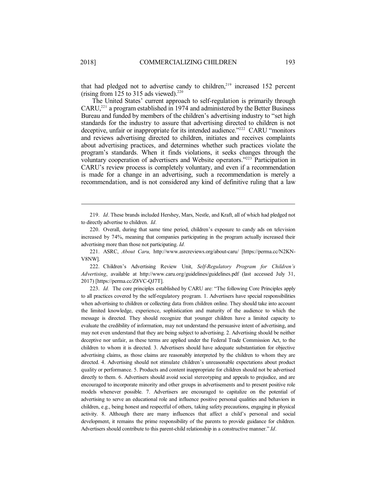that had pledged not to advertise candy to children, 219 increased 152 percent (rising from 125 to 315 ads viewed). $220$ 

The United States' current approach to self-regulation is primarily through CARU,<sup>221</sup> a program established in 1974 and administered by the Better Business Bureau and funded by members of the children's advertising industry to "set high standards for the industry to assure that advertising directed to children is not deceptive, unfair or inappropriate for its intended audience."<sup>222</sup> CARU "monitors and reviews advertising directed to children, initiates and receives complaints about advertising practices, and determines whether such practices violate the program's standards. When it finds violations, it seeks changes through the voluntary cooperation of advertisers and Website operators."<sup>223</sup> Participation in CARU's review process is completely voluntary, and even if a recommendation is made for a change in an advertising, such a recommendation is merely a recommendation, and is not considered any kind of definitive ruling that a law

219. *Id*. These brands included Hershey, Mars, Nestle, and Kraft, all of which had pledged not to directly advertise to children. *Id.*

220. Overall, during that same time period, children's exposure to candy ads on television increased by 74%, meaning that companies participating in the program actually increased their advertising more than those not participating. *Id.*

221. ASRC, *About Caru,* http://www.asrcreviews.org/about-caru/ [https://perma.cc/N2KN-V8NW].

222. Children's Advertising Review Unit, *Self-Regulatory Program for Children's Advertising*, available at http://www.caru.org/guidelines/guidelines.pdf (last accessed July 31, 2017) [https://perma.cc/Z8VC-QJ7T].

223. *Id.* The core principles established by CARU are: "The following Core Principles apply to all practices covered by the self-regulatory program. 1. Advertisers have special responsibilities when advertising to children or collecting data from children online. They should take into account the limited knowledge, experience, sophistication and maturity of the audience to which the message is directed. They should recognize that younger children have a limited capacity to evaluate the credibility of information, may not understand the persuasive intent of advertising, and may not even understand that they are being subject to advertising. 2. Advertising should be neither deceptive nor unfair, as these terms are applied under the Federal Trade Commission Act, to the children to whom it is directed. 3. Advertisers should have adequate substantiation for objective advertising claims, as those claims are reasonably interpreted by the children to whom they are directed. 4. Advertising should not stimulate children's unreasonable expectations about product quality or performance. 5. Products and content inappropriate for children should not be advertised directly to them. 6. Advertisers should avoid social stereotyping and appeals to prejudice, and are encouraged to incorporate minority and other groups in advertisements and to present positive role models whenever possible. 7. Advertisers are encouraged to capitalize on the potential of advertising to serve an educational role and influence positive personal qualities and behaviors in children, e.g., being honest and respectful of others, taking safety precautions, engaging in physical activity. 8. Although there are many influences that affect a child's personal and social development, it remains the prime responsibility of the parents to provide guidance for children. Advertisers should contribute to this parent-child relationship in a constructive manner." *Id*.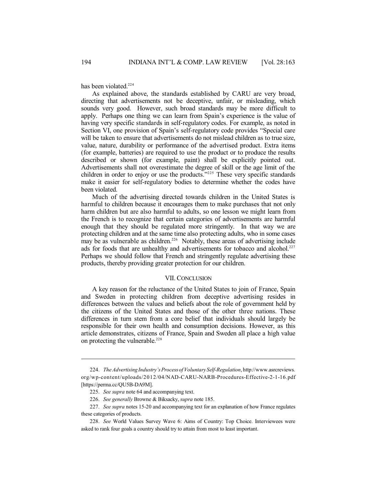has been violated.<sup>224</sup>

As explained above, the standards established by CARU are very broad, directing that advertisements not be deceptive, unfair, or misleading, which sounds very good. However, such broad standards may be more difficult to apply. Perhaps one thing we can learn from Spain's experience is the value of having very specific standards in self-regulatory codes. For example, as noted in Section VI, one provision of Spain's self-regulatory code provides "Special care will be taken to ensure that advertisements do not mislead children as to true size, value, nature, durability or performance of the advertised product. Extra items (for example, batteries) are required to use the product or to produce the results described or shown (for example, paint) shall be explicitly pointed out. Advertisements shall not overestimate the degree of skill or the age limit of the children in order to enjoy or use the products."<sup>225</sup> These very specific standards make it easier for self-regulatory bodies to determine whether the codes have been violated.

Much of the advertising directed towards children in the United States is harmful to children because it encourages them to make purchases that not only harm children but are also harmful to adults, so one lesson we might learn from the French is to recognize that certain categories of advertisements are harmful enough that they should be regulated more stringently. In that way we are protecting children and at the same time also protecting adults, who in some cases may be as vulnerable as children.<sup>226</sup> Notably, these areas of advertising include ads for foods that are unhealthy and advertisements for tobacco and alcohol.<sup>227</sup> Perhaps we should follow that French and stringently regulate advertising these products, thereby providing greater protection for our children.

#### VII. CONCLUSION

A key reason for the reluctance of the United States to join of France, Spain and Sweden in protecting children from deceptive advertising resides in differences between the values and beliefs about the role of government held by the citizens of the United States and those of the other three nations. These differences in turn stem from a core belief that individuals should largely be responsible for their own health and consumption decisions. However, as this article demonstrates, citizens of France, Spain and Sweden all place a high value on protecting the vulnerable.<sup>228</sup>

<sup>224.</sup> *TheAdvertising Industry'sProcessofVoluntarySelf-Regulation*, http://www.asrcreviews. org/wp-content/uploads/2012/04/NAD-CARU-NARB-Procedures-Effective-2-1-16.pdf [https://perma.cc/QU5B-DA9M].

<sup>225.</sup> *See supra* note 64 and accompanying text.

<sup>226.</sup> *See generally* Browne & Biksacky, *supra* note 185.

<sup>227.</sup> *See supra* notes 15-20 and accompanying text for an explanation of how France regulates these categories of products.

<sup>228.</sup> *See* World Values Survey Wave 6: Aims of Country: Top Choice. Interviewees were asked to rank four goals a country should try to attain from most to least important.